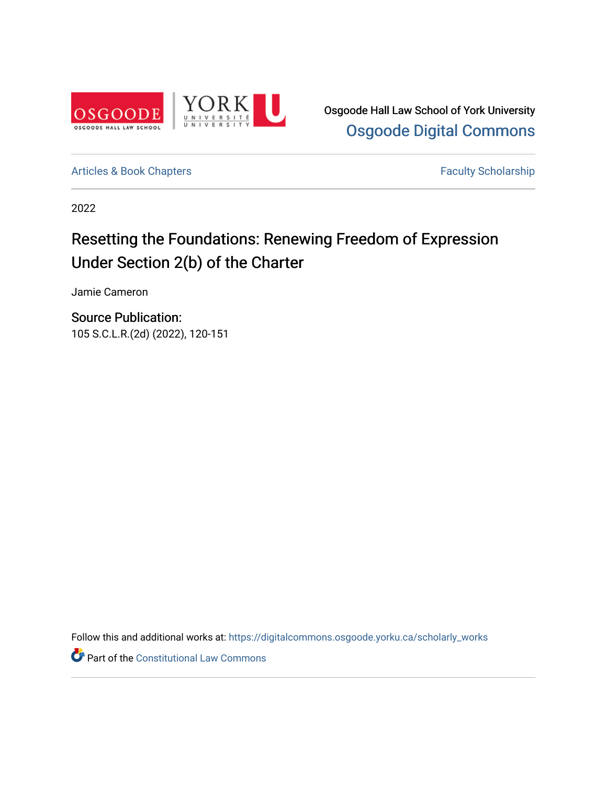

Osgoode Hall Law School of York University [Osgoode Digital Commons](https://digitalcommons.osgoode.yorku.ca/) 

[Articles & Book Chapters](https://digitalcommons.osgoode.yorku.ca/scholarly_works) **Faculty Scholarship Faculty Scholarship** 

2022

# Resetting the Foundations: Renewing Freedom of Expression Under Section 2(b) of the Charter

Jamie Cameron

Source Publication: 105 S.C.L.R.(2d) (2022), 120-151

Follow this and additional works at: [https://digitalcommons.osgoode.yorku.ca/scholarly\\_works](https://digitalcommons.osgoode.yorku.ca/scholarly_works?utm_source=digitalcommons.osgoode.yorku.ca%2Fscholarly_works%2F2875&utm_medium=PDF&utm_campaign=PDFCoverPages) 

Part of the [Constitutional Law Commons](https://network.bepress.com/hgg/discipline/589?utm_source=digitalcommons.osgoode.yorku.ca%2Fscholarly_works%2F2875&utm_medium=PDF&utm_campaign=PDFCoverPages)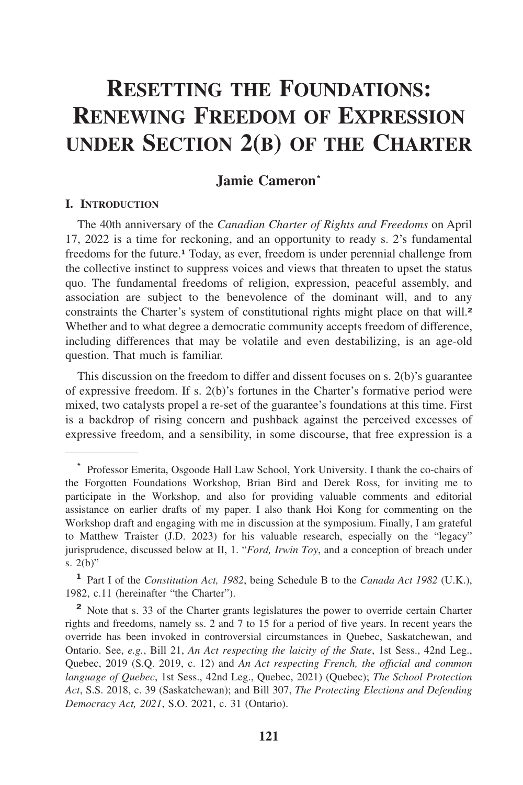# **RESETTING THE FOUNDATIONS: RENEWING FREEDOM OF EXPRESSION UNDER SECTION 2(B) OF THE CHARTER**

# **Jamie Cameron\***

## **I. INTRODUCTION**

The 40th anniversary of the *Canadian Charter of Rights and Freedoms* on April 17, 2022 is a time for reckoning, and an opportunity to ready s. 2's fundamental freedoms for the future.**<sup>1</sup>** Today, as ever, freedom is under perennial challenge from the collective instinct to suppress voices and views that threaten to upset the status quo. The fundamental freedoms of religion, expression, peaceful assembly, and association are subject to the benevolence of the dominant will, and to any constraints the Charter's system of constitutional rights might place on that will.**<sup>2</sup>** Whether and to what degree a democratic community accepts freedom of difference, including differences that may be volatile and even destabilizing, is an age-old question. That much is familiar.

This discussion on the freedom to differ and dissent focuses on s. 2(b)'s guarantee of expressive freedom. If s. 2(b)'s fortunes in the Charter's formative period were mixed, two catalysts propel a re-set of the guarantee's foundations at this time. First is a backdrop of rising concern and pushback against the perceived excesses of expressive freedom, and a sensibility, in some discourse, that free expression is a

**<sup>\*</sup>** Professor Emerita, Osgoode Hall Law School, York University. I thank the co-chairs of the Forgotten Foundations Workshop, Brian Bird and Derek Ross, for inviting me to participate in the Workshop, and also for providing valuable comments and editorial assistance on earlier drafts of my paper. I also thank Hoi Kong for commenting on the Workshop draft and engaging with me in discussion at the symposium. Finally, I am grateful to Matthew Traister (J.D. 2023) for his valuable research, especially on the "legacy" jurisprudence, discussed below at II, 1. "*Ford, Irwin Toy*, and a conception of breach under s.  $2(b)$ "

**<sup>1</sup>** Part I of the *Constitution Act, 1982*, being Schedule B to the *Canada Act 1982* (U.K.), 1982, c.11 (hereinafter "the Charter").

**<sup>2</sup>** Note that s. 33 of the Charter grants legislatures the power to override certain Charter rights and freedoms, namely ss. 2 and 7 to 15 for a period of five years. In recent years the override has been invoked in controversial circumstances in Quebec, Saskatchewan, and Ontario. See, *e.g.*, Bill 21, *An Act respecting the laicity of the State*, 1st Sess., 42nd Leg., Quebec, 2019 (S.Q. 2019, c. 12) and *An Act respecting French, the offıcial and common language of Quebec*, 1st Sess., 42nd Leg., Quebec, 2021) (Quebec); *The School Protection Act*, S.S. 2018, c. 39 (Saskatchewan); and Bill 307, *The Protecting Elections and Defending Democracy Act, 2021*, S.O. 2021, c. 31 (Ontario).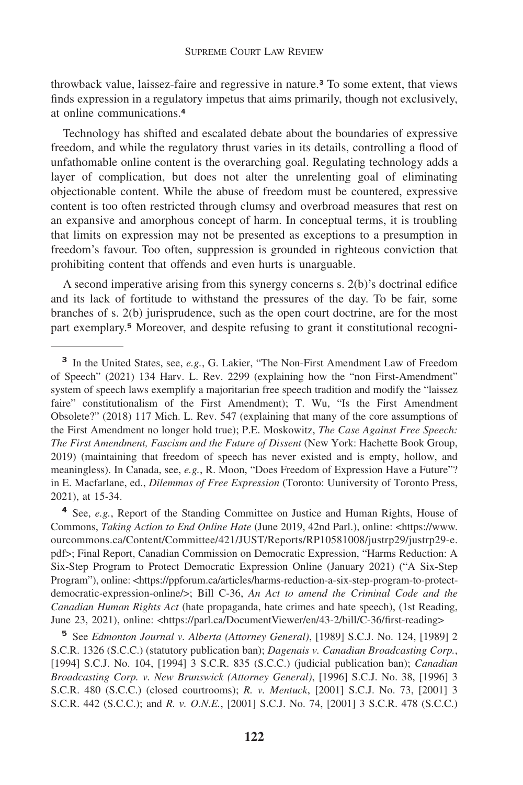throwback value, laissez-faire and regressive in nature.**<sup>3</sup>** To some extent, that views finds expression in a regulatory impetus that aims primarily, though not exclusively, at online communications.**<sup>4</sup>**

Technology has shifted and escalated debate about the boundaries of expressive freedom, and while the regulatory thrust varies in its details, controlling a flood of unfathomable online content is the overarching goal. Regulating technology adds a layer of complication, but does not alter the unrelenting goal of eliminating objectionable content. While the abuse of freedom must be countered, expressive content is too often restricted through clumsy and overbroad measures that rest on an expansive and amorphous concept of harm. In conceptual terms, it is troubling that limits on expression may not be presented as exceptions to a presumption in freedom's favour. Too often, suppression is grounded in righteous conviction that prohibiting content that offends and even hurts is unarguable.

A second imperative arising from this synergy concerns s. 2(b)'s doctrinal edifice and its lack of fortitude to withstand the pressures of the day. To be fair, some branches of s. 2(b) jurisprudence, such as the open court doctrine, are for the most part exemplary.**<sup>5</sup>** Moreover, and despite refusing to grant it constitutional recogni-

**<sup>4</sup>** See, *e.g.*, Report of the Standing Committee on Justice and Human Rights, House of Commons, *Taking Action to End Online Hate* (June 2019, 42nd Parl.), online: <[https://www.](https://www) ourcommons.ca/Content/Committee/421/JUST/Reports/RP10581008/justrp29/justrp29-e. pdf>; Final Report, Canadian Commission on Democratic Expression, "Harms Reduction: A Six-Step Program to Protect Democratic Expression Online (January 2021) ("A Six-Step Program"), online: <<https://ppforum.ca/articles/harms-reduction-a-six-step-program-to-protect>democratic-expression-online/>; Bill C-36, *An Act to amend the Criminal Code and the Canadian Human Rights Act* (hate propaganda, hate crimes and hate speech), (1st Reading, June 23, 2021), online: [<https://parl.ca/DocumentViewer/en/43-2/bill/C-36/first-reading>](https://parl.ca/DocumentViewer/en/43-2/bill/C-36/first-reading)

**<sup>5</sup>** See *Edmonton Journal v. Alberta (Attorney General)*, [1989] S.C.J. No. 124, [1989] 2 S.C.R. 1326 (S.C.C.) (statutory publication ban); *Dagenais v. Canadian Broadcasting Corp.*, [1994] S.C.J. No. 104, [1994] 3 S.C.R. 835 (S.C.C.) (judicial publication ban); *Canadian Broadcasting Corp. v. New Brunswick (Attorney General)*, [1996] S.C.J. No. 38, [1996] 3 S.C.R. 480 (S.C.C.) (closed courtrooms); *R. v. Mentuck*, [2001] S.C.J. No. 73, [2001] 3 S.C.R. 442 (S.C.C.); and *R. v. O.N.E.*, [2001] S.C.J. No. 74, [2001] 3 S.C.R. 478 (S.C.C.)

**<sup>3</sup>** In the United States, see, *e.g.*, G. Lakier, "The Non-First Amendment Law of Freedom of Speech" (2021) 134 Harv. L. Rev. 2299 (explaining how the "non First-Amendment" system of speech laws exemplify a majoritarian free speech tradition and modify the "laissez faire" constitutionalism of the First Amendment); T. Wu, "Is the First Amendment Obsolete?" (2018) 117 Mich. L. Rev. 547 (explaining that many of the core assumptions of the First Amendment no longer hold true); P.E. Moskowitz, *The Case Against Free Speech: The First Amendment, Fascism and the Future of Dissent* (New York: Hachette Book Group, 2019) (maintaining that freedom of speech has never existed and is empty, hollow, and meaningless). In Canada, see, *e.g.*, R. Moon, "Does Freedom of Expression Have a Future"? in E. Macfarlane, ed., *Dilemmas of Free Expression* (Toronto: Uuniversity of Toronto Press, 2021), at 15-34.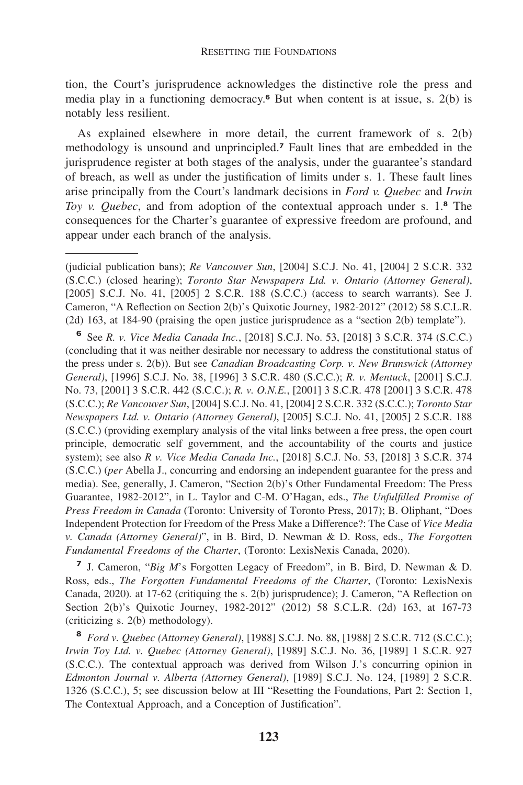tion, the Court's jurisprudence acknowledges the distinctive role the press and media play in a functioning democracy.**<sup>6</sup>** But when content is at issue, s. 2(b) is notably less resilient.

As explained elsewhere in more detail, the current framework of s. 2(b) methodology is unsound and unprincipled.**<sup>7</sup>** Fault lines that are embedded in the jurisprudence register at both stages of the analysis, under the guarantee's standard of breach, as well as under the justification of limits under s. 1. These fault lines arise principally from the Court's landmark decisions in *Ford v. Quebec* and *Irwin Toy v. Quebec*, and from adoption of the contextual approach under s. 1.**<sup>8</sup>** The consequences for the Charter's guarantee of expressive freedom are profound, and appear under each branch of the analysis.

**<sup>6</sup>** See *R. v. Vice Media Canada Inc.*, [2018] S.C.J. No. 53, [2018] 3 S.C.R. 374 (S.C.C.) (concluding that it was neither desirable nor necessary to address the constitutional status of the press under s. 2(b)). But see *Canadian Broadcasting Corp. v. New Brunswick (Attorney General)*, [1996] S.C.J. No. 38, [1996] 3 S.C.R. 480 (S.C.C.); *R. v. Mentuck*, [2001] S.C.J. No. 73, [2001] 3 S.C.R. 442 (S.C.C.); *R. v. O.N.E.*, [2001] 3 S.C.R. 478 [2001] 3 S.C.R. 478 (S.C.C.); *Re Vancouver Sun*, [2004] S.C.J. No. 41, [2004] 2 S.C.R. 332 (S.C.C.); *Toronto Star Newspapers Ltd. v. Ontario (Attorney General)*, [2005] S.C.J. No. 41, [2005] 2 S.C.R. 188 (S.C.C.) (providing exemplary analysis of the vital links between a free press, the open court principle, democratic self government, and the accountability of the courts and justice system); see also *R v. Vice Media Canada Inc.*, [2018] S.C.J. No. 53, [2018] 3 S.C.R. 374 (S.C.C.) (*per* Abella J., concurring and endorsing an independent guarantee for the press and media). See, generally, J. Cameron, "Section 2(b)'s Other Fundamental Freedom: The Press Guarantee, 1982-2012", in L. Taylor and C-M. O'Hagan, eds., *The Unfulfilled Promise of Press Freedom in Canada* (Toronto: University of Toronto Press, 2017); B. Oliphant, "Does Independent Protection for Freedom of the Press Make a Difference?: The Case of *Vice Media v. Canada (Attorney General)*", in B. Bird, D. Newman & D. Ross, eds., *The Forgotten Fundamental Freedoms of the Charter*, (Toronto: LexisNexis Canada, 2020).

**<sup>7</sup>** J. Cameron, "*Big M*'s Forgotten Legacy of Freedom", in B. Bird, D. Newman & D. Ross, eds., *The Forgotten Fundamental Freedoms of the Charter*, (Toronto: LexisNexis Canada, 2020)*.* at 17-62 (critiquing the s. 2(b) jurisprudence); J. Cameron, "A Reflection on Section 2(b)'s Quixotic Journey, 1982-2012" (2012) 58 S.C.L.R. (2d) 163, at 167-73 (criticizing s. 2(b) methodology).

**<sup>8</sup>** *Ford v. Quebec (Attorney General)*, [1988] S.C.J. No. 88, [1988] 2 S.C.R. 712 (S.C.C.); *Irwin Toy Ltd. v. Quebec (Attorney General)*, [1989] S.C.J. No. 36, [1989] 1 S.C.R. 927 (S.C.C.). The contextual approach was derived from Wilson J.'s concurring opinion in *Edmonton Journal v. Alberta (Attorney General)*, [1989] S.C.J. No. 124, [1989] 2 S.C.R. 1326 (S.C.C.), 5; see discussion below at III "Resetting the Foundations, Part 2: Section 1, The Contextual Approach, and a Conception of Justification".

<sup>(</sup>judicial publication bans); *Re Vancouver Sun*, [2004] S.C.J. No. 41, [2004] 2 S.C.R. 332 (S.C.C.) (closed hearing); *Toronto Star Newspapers Ltd. v. Ontario (Attorney General)*, [2005] S.C.J. No. 41, [2005] 2 S.C.R. 188 (S.C.C.) (access to search warrants). See J. Cameron, "A Reflection on Section 2(b)'s Quixotic Journey, 1982-2012" (2012) 58 S.C.L.R. (2d) 163, at 184-90 (praising the open justice jurisprudence as a "section 2(b) template").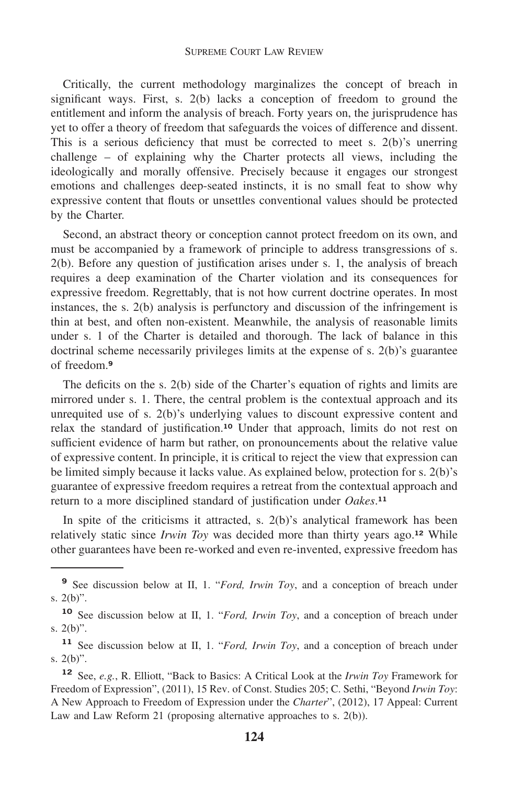Critically, the current methodology marginalizes the concept of breach in significant ways. First, s. 2(b) lacks a conception of freedom to ground the entitlement and inform the analysis of breach. Forty years on, the jurisprudence has yet to offer a theory of freedom that safeguards the voices of difference and dissent. This is a serious deficiency that must be corrected to meet s. 2(b)'s unerring challenge – of explaining why the Charter protects all views, including the ideologically and morally offensive. Precisely because it engages our strongest emotions and challenges deep-seated instincts, it is no small feat to show why expressive content that flouts or unsettles conventional values should be protected by the Charter.

Second, an abstract theory or conception cannot protect freedom on its own, and must be accompanied by a framework of principle to address transgressions of s. 2(b). Before any question of justification arises under s. 1, the analysis of breach requires a deep examination of the Charter violation and its consequences for expressive freedom. Regrettably, that is not how current doctrine operates. In most instances, the s. 2(b) analysis is perfunctory and discussion of the infringement is thin at best, and often non-existent. Meanwhile, the analysis of reasonable limits under s. 1 of the Charter is detailed and thorough. The lack of balance in this doctrinal scheme necessarily privileges limits at the expense of s. 2(b)'s guarantee of freedom.**<sup>9</sup>**

The deficits on the s. 2(b) side of the Charter's equation of rights and limits are mirrored under s. 1. There, the central problem is the contextual approach and its unrequited use of s. 2(b)'s underlying values to discount expressive content and relax the standard of [justification.](https://justification.10)**<sup>10</sup>** Under that approach, limits do not rest on sufficient evidence of harm but rather, on pronouncements about the relative value of expressive content. In principle, it is critical to reject the view that expression can be limited simply because it lacks value. As explained below, protection for s. 2(b)'s guarantee of expressive freedom requires a retreat from the contextual approach and return to a more disciplined standard of justification under Oakes.<sup>11</sup>

In spite of the criticisms it attracted, s. 2(b)'s analytical framework has been relatively static since *Irwin Toy* was decided more than thirty years ago.**<sup>12</sup>** While other guarantees have been re-worked and even re-invented, expressive freedom has

**<sup>9</sup>** See discussion below at II, 1. "*Ford, Irwin Toy*, and a conception of breach under s. 2(b)".

**<sup>10</sup>** See discussion below at II, 1. "*Ford, Irwin Toy*, and a conception of breach under s. 2(b)".

**<sup>11</sup>** See discussion below at II, 1. "*Ford, Irwin Toy*, and a conception of breach under s. 2(b)".

**<sup>12</sup>** See, *e.g.*, R. Elliott, "Back to Basics: A Critical Look at the *Irwin Toy* Framework for Freedom of Expression", (2011), 15 Rev. of Const. Studies 205; C. Sethi, "Beyond *Irwin Toy*: A New Approach to Freedom of Expression under the *Charter*", (2012), 17 Appeal: Current Law and Law Reform 21 (proposing alternative approaches to s. 2(b)).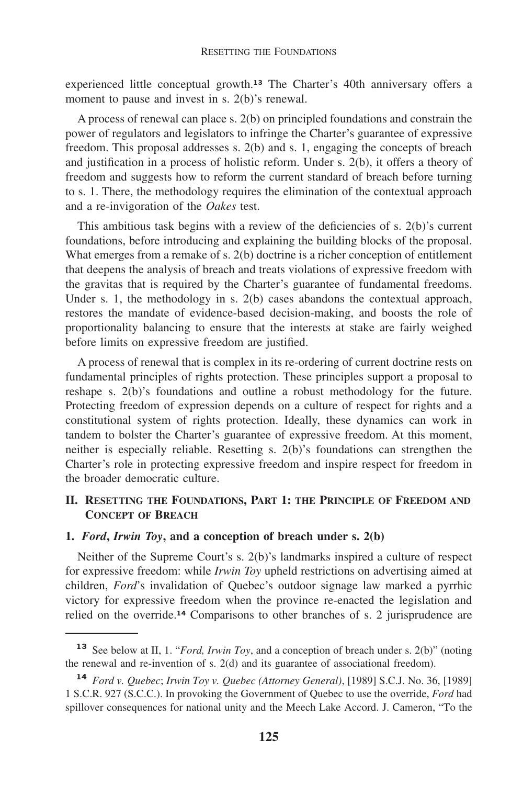experienced little conceptual [growth.](https://growth.13)**<sup>13</sup>** The Charter's 40th anniversary offers a moment to pause and invest in s. 2(b)'s renewal.

A process of renewal can place s. 2(b) on principled foundations and constrain the power of regulators and legislators to infringe the Charter's guarantee of expressive freedom. This proposal addresses s. 2(b) and s. 1, engaging the concepts of breach and justification in a process of holistic reform. Under s. 2(b), it offers a theory of freedom and suggests how to reform the current standard of breach before turning to s. 1. There, the methodology requires the elimination of the contextual approach and a re-invigoration of the *Oakes* test.

This ambitious task begins with a review of the deficiencies of s. 2(b)'s current foundations, before introducing and explaining the building blocks of the proposal. What emerges from a remake of s. 2(b) doctrine is a richer conception of entitlement that deepens the analysis of breach and treats violations of expressive freedom with the gravitas that is required by the Charter's guarantee of fundamental freedoms. Under s. 1, the methodology in s. 2(b) cases abandons the contextual approach, restores the mandate of evidence-based decision-making, and boosts the role of proportionality balancing to ensure that the interests at stake are fairly weighed before limits on expressive freedom are justified.

A process of renewal that is complex in its re-ordering of current doctrine rests on fundamental principles of rights protection. These principles support a proposal to reshape s. 2(b)'s foundations and outline a robust methodology for the future. Protecting freedom of expression depends on a culture of respect for rights and a constitutional system of rights protection. Ideally, these dynamics can work in tandem to bolster the Charter's guarantee of expressive freedom. At this moment, neither is especially reliable. Resetting s. 2(b)'s foundations can strengthen the Charter's role in protecting expressive freedom and inspire respect for freedom in the broader democratic culture.

# **II. RESETTING THE FOUNDATIONS, PART 1: THE PRINCIPLE OF FREEDOM AND CONCEPT OF BREACH**

# **1.** *Ford***,** *Irwin Toy***, and a conception of breach under s. 2(b)**

Neither of the Supreme Court's s. 2(b)'s landmarks inspired a culture of respect for expressive freedom: while *Irwin Toy* upheld restrictions on advertising aimed at children, *Ford*'s invalidation of Quebec's outdoor signage law marked a pyrrhic victory for expressive freedom when the province re-enacted the legislation and relied on the [override.](https://override.14)**<sup>14</sup>** Comparisons to other branches of s. 2 jurisprudence are

**<sup>13</sup>** See below at II, 1. "*Ford, Irwin Toy*, and a conception of breach under s. 2(b)" (noting the renewal and re-invention of s. 2(d) and its guarantee of associational freedom).

**<sup>14</sup>** *Ford v. Quebec*; *Irwin Toy v. Quebec (Attorney General)*, [1989] S.C.J. No. 36, [1989] 1 S.C.R. 927 (S.C.C.). In provoking the Government of Quebec to use the override, *Ford* had spillover consequences for national unity and the Meech Lake Accord. J. Cameron, "To the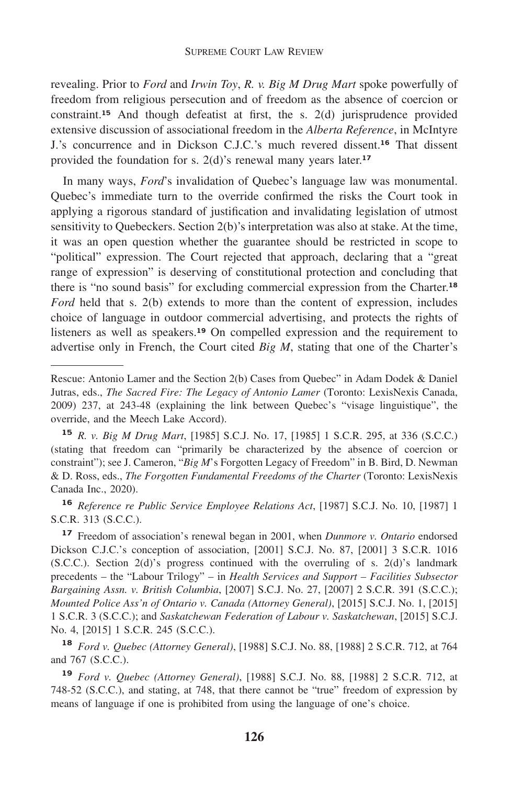revealing. Prior to *Ford* and *Irwin Toy*, *R. v. Big M Drug Mart* spoke powerfully of freedom from religious persecution and of freedom as the absence of coercion or [constraint.](https://constraint.15)**<sup>15</sup>** And though defeatist at first, the s. 2(d) jurisprudence provided extensive discussion of associational freedom in the *Alberta Reference*, in McIntyre J.'s concurrence and in Dickson C.J.C.'s much revered [dissent.](https://dissent.16)**<sup>16</sup>** That dissent provided the foundation for s. 2(d)'s renewal many years [later.](https://later.17)**<sup>17</sup>**

In many ways, *Ford*'s invalidation of Quebec's language law was monumental. Quebec's immediate turn to the override confirmed the risks the Court took in applying a rigorous standard of justification and invalidating legislation of utmost sensitivity to Quebeckers. Section 2(b)'s interpretation was also at stake. At the time, it was an open question whether the guarantee should be restricted in scope to "political" expression. The Court rejected that approach, declaring that a "great range of expression" is deserving of constitutional protection and concluding that there is "no sound basis" for excluding commercial expression from the [Charter.](https://Charter.18)**<sup>18</sup>** *Ford* held that s. 2(b) extends to more than the content of expression, includes choice of language in outdoor commercial advertising, and protects the rights of listeners as well as [speakers.](https://speakers.19)**<sup>19</sup>** On compelled expression and the requirement to advertise only in French, the Court cited *Big M*, stating that one of the Charter's

**<sup>16</sup>** *Reference re Public Service Employee Relations Act*, [1987] S.C.J. No. 10, [1987] 1 S.C.R. 313 (S.C.C.).

**<sup>17</sup>** Freedom of association's renewal began in 2001, when *Dunmore v. Ontario* endorsed Dickson C.J.C.'s conception of association, [2001] S.C.J. No. 87, [2001] 3 S.C.R. 1016  $(S.C.C.)$ . Section  $2(d)$ 's progress continued with the overruling of s.  $2(d)$ 's landmark precedents – the "Labour Trilogy" – in *Health Services and Support – Facilities Subsector Bargaining Assn. v. British Columbia*, [2007] S.C.J. No. 27, [2007] 2 S.C.R. 391 (S.C.C.); *Mounted Police Ass'n of Ontario v. Canada (Attorney General)*, [2015] S.C.J. No. 1, [2015] 1 S.C.R. 3 (S.C.C.); and *Saskatchewan Federation of Labour v. Saskatchewan*, [2015] S.C.J. No. 4, [2015] 1 S.C.R. 245 (S.C.C.).

**<sup>18</sup>** *Ford v. Quebec (Attorney General)*, [1988] S.C.J. No. 88, [1988] 2 S.C.R. 712, at 764 and 767 (S.C.C.).

**<sup>19</sup>** *Ford v. Quebec (Attorney General)*, [1988] S.C.J. No. 88, [1988] 2 S.C.R. 712, at 748-52 (S.C.C.), and stating, at 748, that there cannot be "true" freedom of expression by means of language if one is prohibited from using the language of one's choice.

Rescue: Antonio Lamer and the Section 2(b) Cases from Quebec" in Adam Dodek & Daniel Jutras, eds., *The Sacred Fire: The Legacy of Antonio Lamer* (Toronto: LexisNexis Canada, 2009) 237, at 243-48 (explaining the link between Quebec's "visage linguistique", the override, and the Meech Lake Accord).

**<sup>15</sup>** *R. v. Big M Drug Mart*, [1985] S.C.J. No. 17, [1985] 1 S.C.R. 295, at 336 (S.C.C.) (stating that freedom can "primarily be characterized by the absence of coercion or constraint"); see J. Cameron, "*Big M*'s Forgotten Legacy of Freedom" in B. Bird, D. Newman & D. Ross, eds., *The Forgotten Fundamental Freedoms of the Charter* (Toronto: LexisNexis Canada Inc., 2020).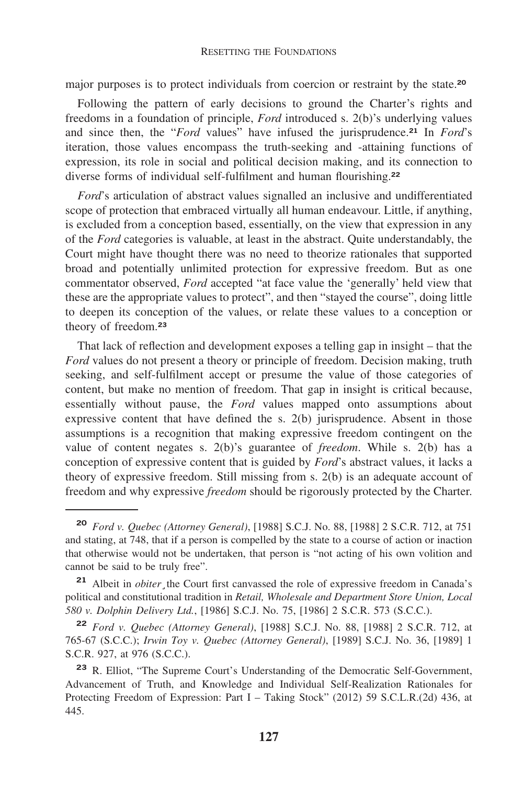major purposes is to protect individuals from coercion or restraint by the [state.](https://state.20)**<sup>20</sup>**

Following the pattern of early decisions to ground the Charter's rights and freedoms in a foundation of principle, *Ford* introduced s. 2(b)'s underlying values and since then, the "*Ford* values" have infused the [jurisprudence.](https://jurisprudence.21)**<sup>21</sup>** In *Ford*'s iteration, those values encompass the truth-seeking and -attaining functions of expression, its role in social and political decision making, and its connection to diverse forms of individual self-fulfilment and human [flourishing.](https://flourishing.22)**<sup>22</sup>**

*Ford*'s articulation of abstract values signalled an inclusive and undifferentiated scope of protection that embraced virtually all human endeavour. Little, if anything, is excluded from a conception based, essentially, on the view that expression in any of the *Ford* categories is valuable, at least in the abstract. Quite understandably, the Court might have thought there was no need to theorize rationales that supported broad and potentially unlimited protection for expressive freedom. But as one commentator observed, *Ford* accepted "at face value the 'generally' held view that these are the appropriate values to protect", and then "stayed the course", doing little to deepen its conception of the values, or relate these values to a conception or theory of [freedom.](https://freedom.23)**<sup>23</sup>**

That lack of reflection and development exposes a telling gap in insight – that the *Ford* values do not present a theory or principle of freedom. Decision making, truth seeking, and self-fulfilment accept or presume the value of those categories of content, but make no mention of freedom. That gap in insight is critical because, essentially without pause, the *Ford* values mapped onto assumptions about expressive content that have defined the s. 2(b) jurisprudence. Absent in those assumptions is a recognition that making expressive freedom contingent on the value of content negates s. 2(b)'s guarantee of *freedom*. While s. 2(b) has a conception of expressive content that is guided by *Ford*'s abstract values, it lacks a theory of expressive freedom. Still missing from s. 2(b) is an adequate account of freedom and why expressive *freedom* should be rigorously protected by the Charter.

**<sup>20</sup>** *Ford v. Quebec (Attorney General)*, [1988] S.C.J. No. 88, [1988] 2 S.C.R. 712, at 751 and stating, at 748, that if a person is compelled by the state to a course of action or inaction that otherwise would not be undertaken, that person is "not acting of his own volition and cannot be said to be truly free".

**<sup>21</sup>** Albeit in *obiter¸*the Court first canvassed the role of expressive freedom in Canada's political and constitutional tradition in *Retail, Wholesale and Department Store Union, Local 580 v. Dolphin Delivery Ltd.*, [1986] S.C.J. No. 75, [1986] 2 S.C.R. 573 (S.C.C.).

**<sup>22</sup>** *Ford v. Quebec (Attorney General)*, [1988] S.C.J. No. 88, [1988] 2 S.C.R. 712, at 765-67 (S.C.C.); *Irwin Toy v. Quebec (Attorney General)*, [1989] S.C.J. No. 36, [1989] 1 S.C.R. 927, at 976 (S.C.C.).

**<sup>23</sup>** R. Elliot, "The Supreme Court's Understanding of the Democratic Self-Government, Advancement of Truth, and Knowledge and Individual Self-Realization Rationales for Protecting Freedom of Expression: Part I – Taking Stock" (2012) 59 S.C.L.R.(2d) 436, at 445.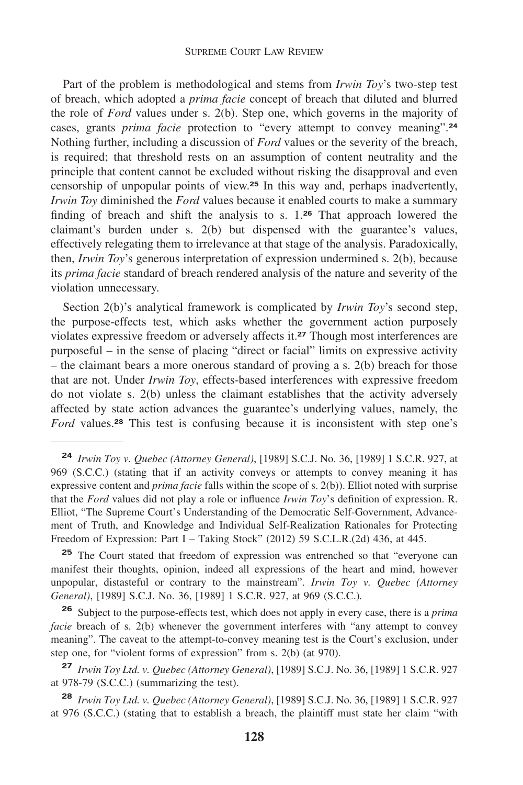Part of the problem is methodological and stems from *Irwin Toy*'s two-step test of breach, which adopted a *prima facie* concept of breach that diluted and blurred the role of *Ford* values under s. 2(b). Step one, which governs in the majority of cases, grants *prima facie* protection to "every attempt to convey [meaning".](https://meaning�.24)**<sup>24</sup>** Nothing further, including a discussion of *Ford* values or the severity of the breach, is required; that threshold rests on an assumption of content neutrality and the principle that content cannot be excluded without risking the disapproval and even censorship of unpopular points of view.**<sup>25</sup>** In this way and, perhaps inadvertently, *Irwin Toy* diminished the *Ford* values because it enabled courts to make a summary finding of breach and shift the analysis to s. 1.**<sup>26</sup>** That approach lowered the claimant's burden under s. 2(b) but dispensed with the guarantee's values, effectively relegating them to irrelevance at that stage of the analysis. Paradoxically, then, *Irwin Toy*'s generous interpretation of expression undermined s. 2(b), because its *prima facie* standard of breach rendered analysis of the nature and severity of the violation unnecessary.

Section 2(b)'s analytical framework is complicated by *Irwin Toy*'s second step, the purpose-effects test, which asks whether the government action purposely violates expressive freedom or adversely affects it.**<sup>27</sup>** Though most interferences are purposeful – in the sense of placing "direct or facial" limits on expressive activity – the claimant bears a more onerous standard of proving a s. 2(b) breach for those that are not. Under *Irwin Toy*, effects-based interferences with expressive freedom do not violate s. 2(b) unless the claimant establishes that the activity adversely affected by state action advances the guarantee's underlying values, namely, the *Ford* [values.](https://values.28)**<sup>28</sup>** This test is confusing because it is inconsistent with step one's

**<sup>25</sup>** The Court stated that freedom of expression was entrenched so that "everyone can manifest their thoughts, opinion, indeed all expressions of the heart and mind, however unpopular, distasteful or contrary to the mainstream". *Irwin Toy v. Quebec (Attorney General)*, [1989] S.C.J. No. 36, [1989] 1 S.C.R. 927, at 969 (S.C.C.)*.* 

**<sup>26</sup>** Subject to the purpose-effects test, which does not apply in every case, there is a *prima facie* breach of s. 2(b) whenever the government interferes with "any attempt to convey meaning". The caveat to the attempt-to-convey meaning test is the Court's exclusion, under step one, for "violent forms of expression" from s. 2(b) (at 970).

**<sup>24</sup>** *Irwin Toy v. Quebec (Attorney General)*, [1989] S.C.J. No. 36, [1989] 1 S.C.R. 927, at 969 (S.C.C.) (stating that if an activity conveys or attempts to convey meaning it has expressive content and *prima facie* falls within the scope of s. 2(b)). Elliot noted with surprise that the *Ford* values did not play a role or influence *Irwin Toy*'s definition of expression. R. Elliot, "The Supreme Court's Understanding of the Democratic Self-Government, Advancement of Truth, and Knowledge and Individual Self-Realization Rationales for Protecting Freedom of Expression: Part I – Taking Stock" (2012) 59 S.C.L.R.(2d) 436, at 445.

**<sup>27</sup>** *Irwin Toy Ltd. v. Quebec (Attorney General)*, [1989] S.C.J. No. 36, [1989] 1 S.C.R. 927 at 978-79 (S.C.C.) (summarizing the test).

**<sup>28</sup>** *Irwin Toy Ltd. v. Quebec (Attorney General)*, [1989] S.C.J. No. 36, [1989] 1 S.C.R. 927 at 976 (S.C.C.) (stating that to establish a breach, the plaintiff must state her claim "with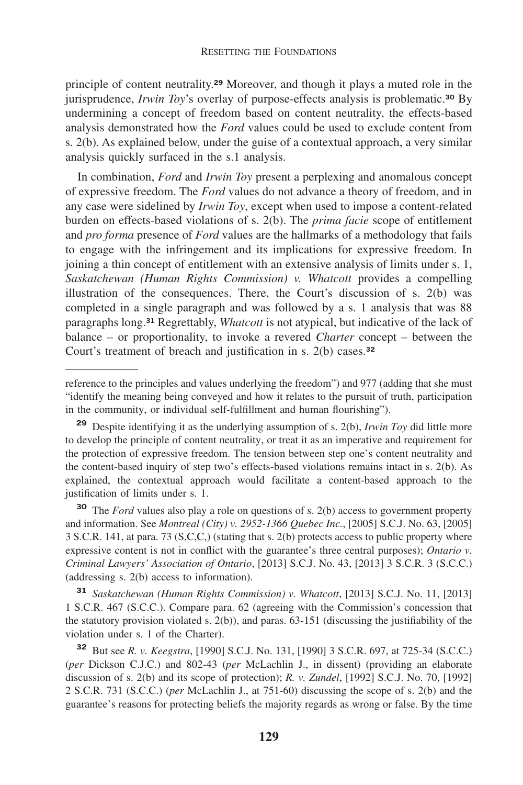principle of content [neutrality.](https://neutrality.29)**<sup>29</sup>** Moreover, and though it plays a muted role in the jurisprudence, *Irwin Toy*'s overlay of purpose-effects analysis is [problematic.](https://problematic.30)**<sup>30</sup>** By undermining a concept of freedom based on content neutrality, the effects-based analysis demonstrated how the *Ford* values could be used to exclude content from s. 2(b). As explained below, under the guise of a contextual approach, a very similar analysis quickly surfaced in the s.1 analysis.

In combination, *Ford* and *Irwin Toy* present a perplexing and anomalous concept of expressive freedom. The *Ford* values do not advance a theory of freedom, and in any case were sidelined by *Irwin Toy*, except when used to impose a content-related burden on effects-based violations of s. 2(b). The *prima facie* scope of entitlement and *pro forma* presence of *Ford* values are the hallmarks of a methodology that fails to engage with the infringement and its implications for expressive freedom. In joining a thin concept of entitlement with an extensive analysis of limits under s. 1, *Saskatchewan (Human Rights Commission) v. Whatcott* provides a compelling illustration of the consequences. There, the Court's discussion of s. 2(b) was completed in a single paragraph and was followed by a s. 1 analysis that was 88 paragraphs long.**<sup>31</sup>** Regrettably, *Whatcott* is not atypical, but indicative of the lack of balance – or proportionality, to invoke a revered *Charter* concept – between the Court's treatment of breach and justification in s. 2(b) [cases.](https://cases.32)**<sup>32</sup>**

**<sup>30</sup>** The *Ford* values also play a role on questions of s. 2(b) access to government property and information. See *Montreal (City) v. 2952-1366 Quebec Inc.*, [2005] S.C.J. No. 63, [2005] 3 S.C.R. 141, at para. 73 (S,C,C,) (stating that s. 2(b) protects access to public property where expressive content is not in conflict with the guarantee's three central purposes); *Ontario v. Criminal Lawyers' Association of Ontario*, [2013] S.C.J. No. 43, [2013] 3 S.C.R. 3 (S.C.C.) (addressing s. 2(b) access to information).

**<sup>31</sup>** *Saskatchewan (Human Rights Commission) v. Whatcott*, [2013] S.C.J. No. 11, [2013] 1 S.C.R. 467 (S.C.C.). Compare para. 62 (agreeing with the Commission's concession that the statutory provision violated s. 2(b)), and paras. 63-151 (discussing the justifiability of the violation under s. 1 of the Charter).

**<sup>32</sup>** But see *R. v. Keegstra*, [1990] S.C.J. No. 131, [1990] 3 S.C.R. 697, at 725-34 (S.C.C.) (*per* Dickson C.J.C.) and 802-43 (*per* McLachlin J., in dissent) (providing an elaborate discussion of s. 2(b) and its scope of protection); *R. v. Zundel*, [1992] S.C.J. No. 70, [1992] 2 S.C.R. 731 (S.C.C.) (*per* McLachlin J., at 751-60) discussing the scope of s. 2(b) and the guarantee's reasons for protecting beliefs the majority regards as wrong or false. By the time

reference to the principles and values underlying the freedom") and 977 (adding that she must "identify the meaning being conveyed and how it relates to the pursuit of truth, participation in the community, or individual self-fulfillment and human flourishing").

**<sup>29</sup>** Despite identifying it as the underlying assumption of s. 2(b), *Irwin Toy* did little more to develop the principle of content neutrality, or treat it as an imperative and requirement for the protection of expressive freedom. The tension between step one's content neutrality and the content-based inquiry of step two's effects-based violations remains intact in s. 2(b). As explained, the contextual approach would facilitate a content-based approach to the justification of limits under s. 1.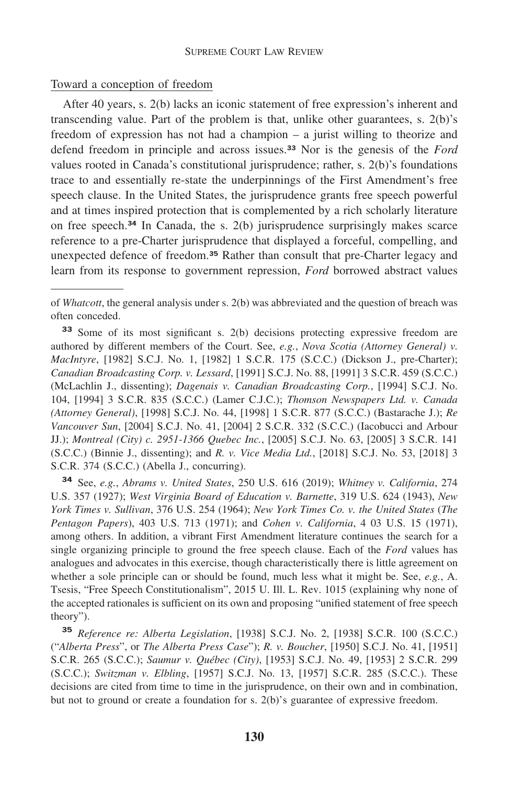## Toward a conception of freedom

After 40 years, s. 2(b) lacks an iconic statement of free expression's inherent and transcending value. Part of the problem is that, unlike other guarantees, s. 2(b)'s freedom of expression has not had a champion – a jurist willing to theorize and defend freedom in principle and across [issues.](https://issues.33)**<sup>33</sup>** Nor is the genesis of the *Ford*  values rooted in Canada's constitutional jurisprudence; rather, s. 2(b)'s foundations trace to and essentially re-state the underpinnings of the First Amendment's free speech clause. In the United States, the jurisprudence grants free speech powerful and at times inspired protection that is complemented by a rich scholarly literature on free [speech.](https://speech.34)**<sup>34</sup>** In Canada, the s. 2(b) jurisprudence surprisingly makes scarce reference to a pre-Charter jurisprudence that displayed a forceful, compelling, and unexpected defence of [freedom.](https://freedom.35)**<sup>35</sup>** Rather than consult that pre-Charter legacy and learn from its response to government repression, *Ford* borrowed abstract values

of *Whatcott*, the general analysis under s. 2(b) was abbreviated and the question of breach was often conceded.

**<sup>33</sup>** Some of its most significant s. 2(b) decisions protecting expressive freedom are authored by different members of the Court. See, *e.g.*, *Nova Scotia (Attorney General) v. MacIntyre*, [1982] S.C.J. No. 1, [1982] 1 S.C.R. 175 (S.C.C.) (Dickson J., pre-Charter); *Canadian Broadcasting Corp. v. Lessard*, [1991] S.C.J. No. 88, [1991] 3 S.C.R. 459 (S.C.C.) (McLachlin J., dissenting); *Dagenais v. Canadian Broadcasting Corp.*, [1994] S.C.J. No. 104, [1994] 3 S.C.R. 835 (S.C.C.) (Lamer C.J.C.); *Thomson Newspapers Ltd. v. Canada (Attorney General)*, [1998] S.C.J. No. 44, [1998] 1 S.C.R. 877 (S.C.C.) (Bastarache J.); *Re Vancouver Sun*, [2004] S.C.J. No. 41, [2004] 2 S.C.R. 332 (S.C.C.) (Iacobucci and Arbour JJ.); *Montreal (City) c. 2951-1366 Quebec Inc.*, [2005] S.C.J. No. 63, [2005] 3 S.C.R. 141 (S.C.C.) (Binnie J., dissenting); and *R. v. Vice Media Ltd.*, [2018] S.C.J. No. 53, [2018] 3 S.C.R. 374 (S.C.C.) (Abella J., concurring).

**<sup>34</sup>** See, *e.g.*, *Abrams v. United States*, 250 U.S. 616 (2019); *Whitney v. California*, 274 U.S. 357 (1927); *West Virginia Board of Education v. Barnette*, 319 U.S. 624 (1943), *New York Times v. Sullivan*, 376 U.S. 254 (1964); *New York Times Co. v. the United States* (*The Pentagon Papers*), 403 U.S. 713 (1971); and *Cohen v. California*, 4 03 U.S. 15 (1971), among others. In addition, a vibrant First Amendment literature continues the search for a single organizing principle to ground the free speech clause. Each of the *Ford* values has analogues and advocates in this exercise, though characteristically there is little agreement on whether a sole principle can or should be found, much less what it might be. See, *e.g.*, A. Tsesis, "Free Speech Constitutionalism", 2015 U. Ill. L. Rev. 1015 (explaining why none of the accepted rationales is sufficient on its own and proposing "unified statement of free speech theory").

**<sup>35</sup>** *Reference re: Alberta Legislation*, [1938] S.C.J. No. 2, [1938] S.C.R. 100 (S.C.C.) ("*Alberta Press*", or *The Alberta Press Case*"); *R. v. Boucher*, [1950] S.C.J. No. 41, [1951] S.C.R. 265 (S.C.C.); *Saumur v. Québec (City)*, [1953] S.C.J. No. 49, [1953] 2 S.C.R. 299 (S.C.C.); *Switzman v. Elbling*, [1957] S.C.J. No. 13, [1957] S.C.R. 285 (S.C.C.). These decisions are cited from time to time in the jurisprudence, on their own and in combination, but not to ground or create a foundation for s. 2(b)'s guarantee of expressive freedom.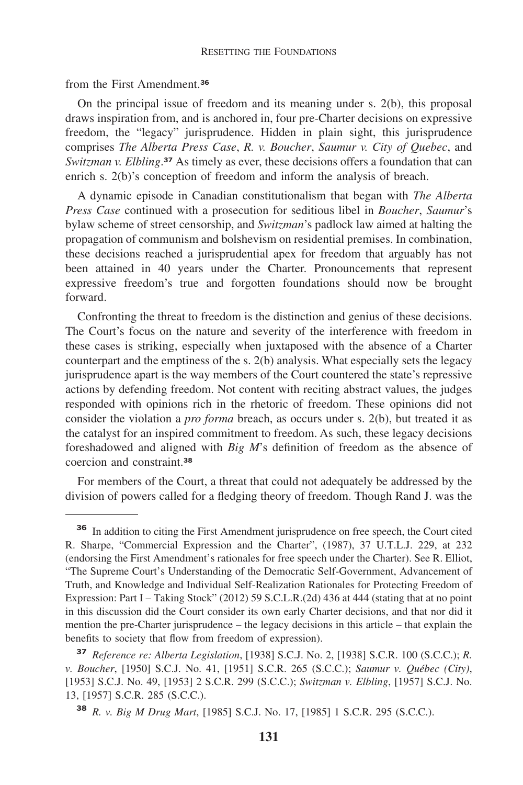#### RESETTING THE FOUNDATIONS

from the First [Amendment.](https://Amendment.36)**<sup>36</sup>**

On the principal issue of freedom and its meaning under s. 2(b), this proposal draws inspiration from, and is anchored in, four pre-Charter decisions on expressive freedom, the "legacy" jurisprudence. Hidden in plain sight, this jurisprudence comprises *The Alberta Press Case*, *R. v. Boucher*, *Saumur v. City of Quebec*, and Switzman v. Elbling.<sup>37</sup> As timely as ever, these decisions offers a foundation that can enrich s. 2(b)'s conception of freedom and inform the analysis of breach.

A dynamic episode in Canadian constitutionalism that began with *The Alberta Press Case* continued with a prosecution for seditious libel in *Boucher*, *Saumur*'s bylaw scheme of street censorship, and *Switzman*'s padlock law aimed at halting the propagation of communism and bolshevism on residential premises. In combination, these decisions reached a jurisprudential apex for freedom that arguably has not been attained in 40 years under the Charter. Pronouncements that represent expressive freedom's true and forgotten foundations should now be brought forward.

Confronting the threat to freedom is the distinction and genius of these decisions. The Court's focus on the nature and severity of the interference with freedom in these cases is striking, especially when juxtaposed with the absence of a Charter counterpart and the emptiness of the s. 2(b) analysis. What especially sets the legacy jurisprudence apart is the way members of the Court countered the state's repressive actions by defending freedom. Not content with reciting abstract values, the judges responded with opinions rich in the rhetoric of freedom. These opinions did not consider the violation a *pro forma* breach, as occurs under s. 2(b), but treated it as the catalyst for an inspired commitment to freedom. As such, these legacy decisions foreshadowed and aligned with *Big M*'s definition of freedom as the absence of coercion and [constraint.](https://constraint.38)**<sup>38</sup>**

For members of the Court, a threat that could not adequately be addressed by the division of powers called for a fledging theory of freedom. Though Rand J. was the

**<sup>36</sup>** In addition to citing the First Amendment jurisprudence on free speech, the Court cited R. Sharpe, "Commercial Expression and the Charter", (1987), 37 U.T.L.J. 229, at 232 (endorsing the First Amendment's rationales for free speech under the Charter). See R. Elliot, "The Supreme Court's Understanding of the Democratic Self-Government, Advancement of Truth, and Knowledge and Individual Self-Realization Rationales for Protecting Freedom of Expression: Part I – Taking Stock" (2012) 59 S.C.L.R.(2d) 436 at 444 (stating that at no point in this discussion did the Court consider its own early Charter decisions, and that nor did it mention the pre-Charter jurisprudence – the legacy decisions in this article – that explain the benefits to society that flow from freedom of expression).

**<sup>37</sup>** *Reference re: Alberta Legislation*, [1938] S.C.J. No. 2, [1938] S.C.R. 100 (S.C.C.); *R. v. Boucher*, [1950] S.C.J. No. 41, [1951] S.C.R. 265 (S.C.C.); *Saumur v. Québec (City)*, [1953] S.C.J. No. 49, [1953] 2 S.C.R. 299 (S.C.C.); *Switzman v. Elbling*, [1957] S.C.J. No. 13, [1957] S.C.R. 285 (S.C.C.).

**<sup>38</sup>** *R. v. Big M Drug Mart*, [1985] S.C.J. No. 17, [1985] 1 S.C.R. 295 (S.C.C.).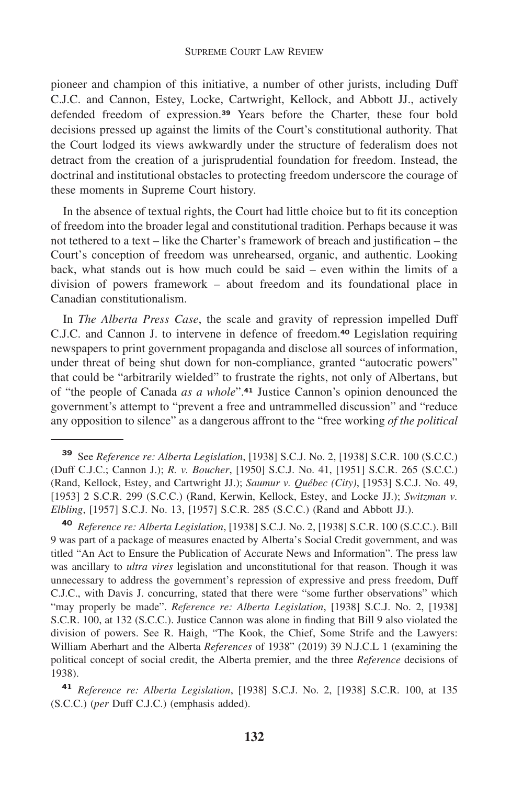pioneer and champion of this initiative, a number of other jurists, including Duff C.J.C. and Cannon, Estey, Locke, Cartwright, Kellock, and Abbott JJ., actively defended freedom of [expression.](https://expression.39)**<sup>39</sup>** Years before the Charter, these four bold decisions pressed up against the limits of the Court's constitutional authority. That the Court lodged its views awkwardly under the structure of federalism does not detract from the creation of a jurisprudential foundation for freedom. Instead, the doctrinal and institutional obstacles to protecting freedom underscore the courage of these moments in Supreme Court history.

In the absence of textual rights, the Court had little choice but to fit its conception of freedom into the broader legal and constitutional tradition. Perhaps because it was not tethered to a text – like the Charter's framework of breach and justification – the Court's conception of freedom was unrehearsed, organic, and authentic. Looking back, what stands out is how much could be said – even within the limits of a division of powers framework – about freedom and its foundational place in Canadian constitutionalism.

In *The Alberta Press Case*, the scale and gravity of repression impelled Duff C.J.C. and Cannon J. to intervene in defence of [freedom.](https://freedom.40)**<sup>40</sup>** Legislation requiring newspapers to print government propaganda and disclose all sources of information, under threat of being shut down for non-compliance, granted "autocratic powers" that could be "arbitrarily wielded" to frustrate the rights, not only of Albertans, but of "the people of Canada *as a [whole](https://whole�.41)*".**<sup>41</sup>** Justice Cannon's opinion denounced the government's attempt to "prevent a free and untrammelled discussion" and "reduce any opposition to silence" as a dangerous affront to the "free working *of the political* 

**<sup>40</sup>** *Reference re: Alberta Legislation*, [1938] S.C.J. No. 2, [1938] S.C.R. 100 (S.C.C.). Bill 9 was part of a package of measures enacted by Alberta's Social Credit government, and was titled "An Act to Ensure the Publication of Accurate News and Information". The press law was ancillary to *ultra vires* legislation and unconstitutional for that reason. Though it was unnecessary to address the government's repression of expressive and press freedom, Duff C.J.C., with Davis J. concurring, stated that there were "some further observations" which "may properly be made". *Reference re: Alberta Legislation*, [1938] S.C.J. No. 2, [1938] S.C.R. 100, at 132 (S.C.C.). Justice Cannon was alone in finding that Bill 9 also violated the division of powers. See R. Haigh, "The Kook, the Chief, Some Strife and the Lawyers: William Aberhart and the Alberta *References* of 1938" (2019) 39 N.J.C.L 1 (examining the political concept of social credit, the Alberta premier, and the three *Reference* decisions of 1938).

**<sup>41</sup>** *Reference re: Alberta Legislation*, [1938] S.C.J. No. 2, [1938] S.C.R. 100, at 135 (S.C.C.) (*per* Duff C.J.C.) (emphasis added).

**<sup>39</sup>** See *Reference re: Alberta Legislation*, [1938] S.C.J. No. 2, [1938] S.C.R. 100 (S.C.C.) (Duff C.J.C.; Cannon J.); *R. v. Boucher*, [1950] S.C.J. No. 41, [1951] S.C.R. 265 (S.C.C.) (Rand, Kellock, Estey, and Cartwright JJ.); *Saumur v. Québec (City)*, [1953] S.C.J. No. 49, [1953] 2 S.C.R. 299 (S.C.C.) (Rand, Kerwin, Kellock, Estey, and Locke JJ.); *Switzman v. Elbling*, [1957] S.C.J. No. 13, [1957] S.C.R. 285 (S.C.C.) (Rand and Abbott JJ.).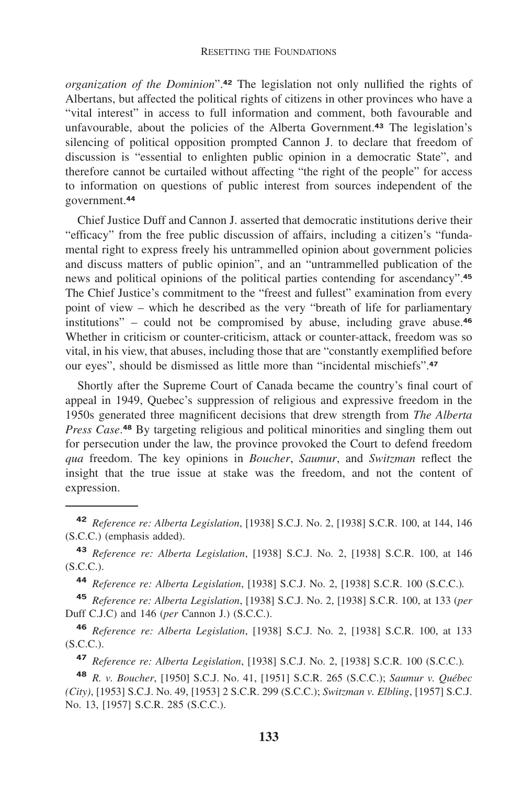#### RESETTING THE FOUNDATIONS

*organization of the [Dominion](https://Dominion�.42)*".**<sup>42</sup>** The legislation not only nullified the rights of Albertans, but affected the political rights of citizens in other provinces who have a "vital interest" in access to full information and comment, both favourable and unfavourable, about the policies of the Alberta [Government.](https://Government.43)**<sup>43</sup>** The legislation's silencing of political opposition prompted Cannon J. to declare that freedom of discussion is "essential to enlighten public opinion in a democratic State", and therefore cannot be curtailed without affecting "the right of the people" for access to information on questions of public interest from sources independent of the [government.](https://government.44)**<sup>44</sup>**

Chief Justice Duff and Cannon J. asserted that democratic institutions derive their "efficacy" from the free public discussion of affairs, including a citizen's "fundamental right to express freely his untrammelled opinion about government policies and discuss matters of public opinion", and an "untrammelled publication of the news and political opinions of the political parties contending for [ascendancy".](https://ascendancy�.45)**<sup>45</sup>** The Chief Justice's commitment to the "freest and fullest" examination from every point of view – which he described as the very "breath of life for parliamentary institutions" – could not be compromised by abuse, including grave [abuse.](https://abuse.46)**<sup>46</sup>** Whether in criticism or counter-criticism, attack or counter-attack, freedom was so vital, in his view, that abuses, including those that are "constantly exemplified before our eyes", should be dismissed as little more than "incidental [mischiefs".](https://mischiefs�.47)**<sup>47</sup>**

Shortly after the Supreme Court of Canada became the country's final court of appeal in 1949, Quebec's suppression of religious and expressive freedom in the 1950s generated three magnificent decisions that drew strength from *The Alberta*  Press Case.<sup>48</sup> By targeting religious and political minorities and singling them out for persecution under the law, the province provoked the Court to defend freedom *qua* freedom. The key opinions in *Boucher*, *Saumur*, and *Switzman* reflect the insight that the true issue at stake was the freedom, and not the content of expression.

**<sup>44</sup>** *Reference re: Alberta Legislation*, [1938] S.C.J. No. 2, [1938] S.C.R. 100 (S.C.C.)*.* 

**<sup>45</sup>** *Reference re: Alberta Legislation*, [1938] S.C.J. No. 2, [1938] S.C.R. 100, at 133 (*per*  Duff C.J.C) and 146 (*per* Cannon J.) (S.C.C.).

**<sup>46</sup>** *Reference re: Alberta Legislation*, [1938] S.C.J. No. 2, [1938] S.C.R. 100, at 133 (S.C.C.).

**<sup>47</sup>** *Reference re: Alberta Legislation*, [1938] S.C.J. No. 2, [1938] S.C.R. 100 (S.C.C.)*.* 

**<sup>48</sup>** *R. v. Boucher*, [1950] S.C.J. No. 41, [1951] S.C.R. 265 (S.C.C.); *Saumur v. Québec (City)*, [1953] S.C.J. No. 49, [1953] 2 S.C.R. 299 (S.C.C.); *Switzman v. Elbling*, [1957] S.C.J. No. 13, [1957] S.C.R. 285 (S.C.C.).

**<sup>42</sup>** *Reference re: Alberta Legislation*, [1938] S.C.J. No. 2, [1938] S.C.R. 100, at 144, 146 (S.C.C.) (emphasis added).

**<sup>43</sup>** *Reference re: Alberta Legislation*, [1938] S.C.J. No. 2, [1938] S.C.R. 100, at 146 (S.C.C.).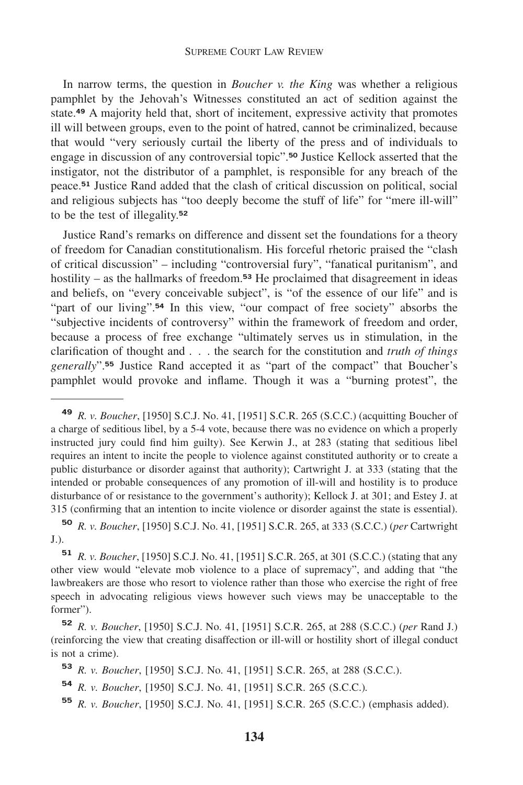#### SUPREME COURT LAW REVIEW

In narrow terms, the question in *Boucher v. the King* was whether a religious pamphlet by the Jehovah's Witnesses constituted an act of sedition against the [state.](https://state.49)**<sup>49</sup>** A majority held that, short of incitement, expressive activity that promotes ill will between groups, even to the point of hatred, cannot be criminalized, because that would "very seriously curtail the liberty of the press and of individuals to engage in discussion of any controversial [topic".](https://topic�.50)**<sup>50</sup>** Justice Kellock asserted that the instigator, not the distributor of a pamphlet, is responsible for any breach of the [peace.](https://peace.51)**<sup>51</sup>** Justice Rand added that the clash of critical discussion on political, social and religious subjects has "too deeply become the stuff of life" for "mere ill-will" to be the test of [illegality.](https://illegality.52)**<sup>52</sup>**

Justice Rand's remarks on difference and dissent set the foundations for a theory of freedom for Canadian constitutionalism. His forceful rhetoric praised the "clash of critical discussion" – including "controversial fury", "fanatical puritanism", and hostility – as the hallmarks of [freedom.](https://freedom.53)**<sup>53</sup>** He proclaimed that disagreement in ideas and beliefs, on "every conceivable subject", is "of the essence of our life" and is "part of our [living".](https://living�.54)<sup>54</sup> In this view, "our compact of free society" absorbs the "subjective incidents of controversy" within the framework of freedom and order, because a process of free exchange "ultimately serves us in stimulation, in the clarification of thought and . . . the search for the constitution and *truth of things [generally](https://generally�.55)*".**<sup>55</sup>** Justice Rand accepted it as "part of the compact" that Boucher's pamphlet would provoke and inflame. Though it was a "burning protest", the

**<sup>49</sup>** *R. v. Boucher*, [1950] S.C.J. No. 41, [1951] S.C.R. 265 (S.C.C.) (acquitting Boucher of a charge of seditious libel, by a 5-4 vote, because there was no evidence on which a properly instructed jury could find him guilty). See Kerwin J., at 283 (stating that seditious libel requires an intent to incite the people to violence against constituted authority or to create a public disturbance or disorder against that authority); Cartwright J. at 333 (stating that the intended or probable consequences of any promotion of ill-will and hostility is to produce disturbance of or resistance to the government's authority); Kellock J. at 301; and Estey J. at 315 (confirming that an intention to incite violence or disorder against the state is essential).

**<sup>50</sup>** *R. v. Boucher*, [1950] S.C.J. No. 41, [1951] S.C.R. 265, at 333 (S.C.C.) (*per* Cartwright J.).

**<sup>51</sup>** *R. v. Boucher*, [1950] S.C.J. No. 41, [1951] S.C.R. 265, at 301 (S.C.C.) (stating that any other view would "elevate mob violence to a place of supremacy", and adding that "the lawbreakers are those who resort to violence rather than those who exercise the right of free speech in advocating religious views however such views may be unacceptable to the former").

**<sup>52</sup>** *R. v. Boucher*, [1950] S.C.J. No. 41, [1951] S.C.R. 265, at 288 (S.C.C.) (*per* Rand J.) (reinforcing the view that creating disaffection or ill-will or hostility short of illegal conduct is not a crime).

**<sup>53</sup>** *R. v. Boucher*, [1950] S.C.J. No. 41, [1951] S.C.R. 265, at 288 (S.C.C.).

**<sup>54</sup>** *R. v. Boucher*, [1950] S.C.J. No. 41, [1951] S.C.R. 265 (S.C.C.)*.* 

**<sup>55</sup>** *R. v. Boucher*, [1950] S.C.J. No. 41, [1951] S.C.R. 265 (S.C.C.) (emphasis added).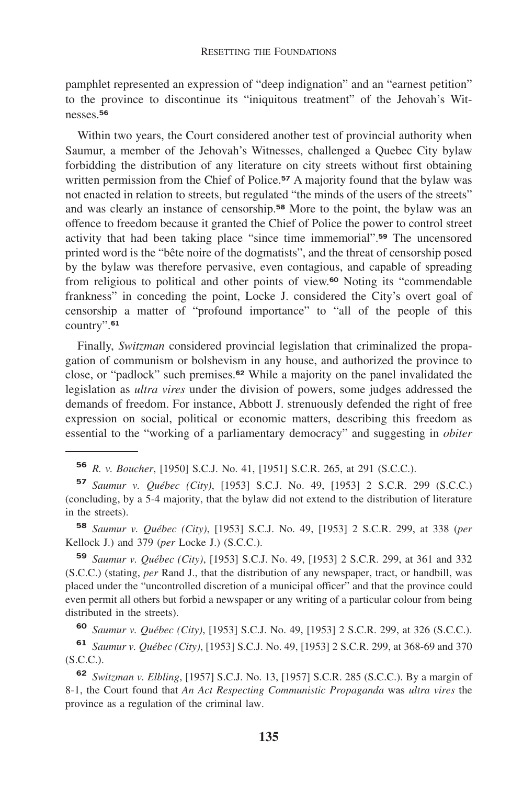pamphlet represented an expression of "deep indignation" and an "earnest petition" to the province to discontinue its "iniquitous treatment" of the Jehovah's Wit[nesses.](https://nesses.56)**<sup>56</sup>**

Within two years, the Court considered another test of provincial authority when Saumur, a member of the Jehovah's Witnesses, challenged a Quebec City bylaw forbidding the distribution of any literature on city streets without first obtaining written permission from the Chief of [Police.](https://Police.57)**<sup>57</sup>** A majority found that the bylaw was not enacted in relation to streets, but regulated "the minds of the users of the streets" and was clearly an instance of [censorship.](https://censorship.58)**<sup>58</sup>** More to the point, the bylaw was an offence to freedom because it granted the Chief of Police the power to control street activity that had been taking place "since time [immemorial".](https://immemorial�.59)**<sup>59</sup>** The uncensored printed word is the "bête noire of the dogmatists", and the threat of censorship posed by the bylaw was therefore pervasive, even contagious, and capable of spreading from religious to political and other points of view.**<sup>60</sup>** Noting its "commendable frankness" in conceding the point, Locke J. considered the City's overt goal of censorship a matter of "profound importance" to "all of the people of this [country".](https://country�.61)**<sup>61</sup>**

Finally, *Switzman* considered provincial legislation that criminalized the propagation of communism or bolshevism in any house, and authorized the province to close, or "padlock" such [premises.](https://premises.62)**<sup>62</sup>** While a majority on the panel invalidated the legislation as *ultra vires* under the division of powers, some judges addressed the demands of freedom. For instance, Abbott J. strenuously defended the right of free expression on social, political or economic matters, describing this freedom as essential to the "working of a parliamentary democracy" and suggesting in *obiter* 

**<sup>56</sup>** *R. v. Boucher*, [1950] S.C.J. No. 41, [1951] S.C.R. 265, at 291 (S.C.C.).

**<sup>57</sup>** *Saumur v. Québec (City)*, [1953] S.C.J. No. 49, [1953] 2 S.C.R. 299 (S.C.C.) (concluding, by a 5-4 majority, that the bylaw did not extend to the distribution of literature in the streets).

**<sup>58</sup>** *Saumur v. Québec (City)*, [1953] S.C.J. No. 49, [1953] 2 S.C.R. 299, at 338 (*per*  Kellock J.) and 379 (*per* Locke J.) (S.C.C.).

**<sup>59</sup>** *Saumur v. Québec (City)*, [1953] S.C.J. No. 49, [1953] 2 S.C.R. 299, at 361 and 332 (S.C.C.) (stating, *per* Rand J., that the distribution of any newspaper, tract, or handbill, was placed under the "uncontrolled discretion of a municipal officer" and that the province could even permit all others but forbid a newspaper or any writing of a particular colour from being distributed in the streets).

**<sup>60</sup>** *Saumur v. Québec (City)*, [1953] S.C.J. No. 49, [1953] 2 S.C.R. 299, at 326 (S.C.C.).

**<sup>61</sup>** *Saumur v. Québec (City)*, [1953] S.C.J. No. 49, [1953] 2 S.C.R. 299, at 368-69 and 370 (S.C.C.).

**<sup>62</sup>** *Switzman v. Elbling*, [1957] S.C.J. No. 13, [1957] S.C.R. 285 (S.C.C.). By a margin of 8-1, the Court found that *An Act Respecting Communistic Propaganda* was *ultra vires* the province as a regulation of the criminal law.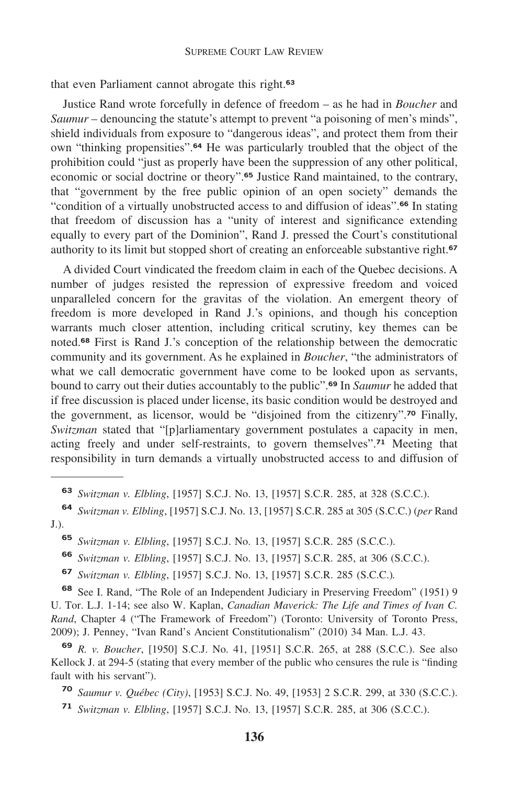that even Parliament cannot abrogate this [right.](https://right.63)**<sup>63</sup>**

Justice Rand wrote forcefully in defence of freedom – as he had in *Boucher* and *Saumur* – denouncing the statute's attempt to prevent "a poisoning of men's minds", shield individuals from exposure to "dangerous ideas", and protect them from their own "thinking [propensities".](https://propensities�.64)**<sup>64</sup>** He was particularly troubled that the object of the prohibition could "just as properly have been the suppression of any other political, economic or social doctrine or [theory".](https://theory�.65)**<sup>65</sup>** Justice Rand maintained, to the contrary, that "government by the free public opinion of an open society" demands the "condition of a virtually unobstructed access to and diffusion of [ideas".](https://ideas�.66)**<sup>66</sup>** In stating that freedom of discussion has a "unity of interest and significance extending equally to every part of the Dominion", Rand J. pressed the Court's constitutional authority to its limit but stopped short of creating an enforceable substantive [right.](https://right.67)**<sup>67</sup>**

A divided Court vindicated the freedom claim in each of the Quebec decisions. A number of judges resisted the repression of expressive freedom and voiced unparalleled concern for the gravitas of the violation. An emergent theory of freedom is more developed in Rand J.'s opinions, and though his conception warrants much closer attention, including critical scrutiny, key themes can be [noted.](https://noted.68)**<sup>68</sup>** First is Rand J.'s conception of the relationship between the democratic community and its government. As he explained in *Boucher*, "the administrators of what we call democratic government have come to be looked upon as servants, bound to carry out their duties accountably to the [public".](https://public�.69)**<sup>69</sup>** In *Saumur* he added that if free discussion is placed under license, its basic condition would be destroyed and the government, as licensor, would be "disjoined from the [citizenry".](https://citizenry�.70)**<sup>70</sup>** Finally, *Switzman* stated that "[p]arliamentary government postulates a capacity in men, acting freely and under self-restraints, to govern [themselves".](https://themselves�.71)**<sup>71</sup>** Meeting that responsibility in turn demands a virtually unobstructed access to and diffusion of

**<sup>63</sup>** *Switzman v. Elbling*, [1957] S.C.J. No. 13, [1957] S.C.R. 285, at 328 (S.C.C.).

**<sup>64</sup>** *Switzman v. Elbling*, [1957] S.C.J. No. 13, [1957] S.C.R. 285 at 305 (S.C.C.) (*per* Rand J.).

**<sup>65</sup>** *Switzman v. Elbling*, [1957] S.C.J. No. 13, [1957] S.C.R. 285 (S.C.C.).

**<sup>66</sup>** *Switzman v. Elbling*, [1957] S.C.J. No. 13, [1957] S.C.R. 285, at 306 (S.C.C.).

**<sup>67</sup>** *Switzman v. Elbling*, [1957] S.C.J. No. 13, [1957] S.C.R. 285 (S.C.C.)*.* 

**<sup>68</sup>** See I. Rand, "The Role of an Independent Judiciary in Preserving Freedom" (1951) 9 U. Tor. L.J. 1-14; see also W. Kaplan, *Canadian Maverick: The Life and Times of Ivan C. Rand*, Chapter 4 ("The Framework of Freedom") (Toronto: University of Toronto Press, 2009); J. Penney, "Ivan Rand's Ancient Constitutionalism" (2010) 34 Man. L.J. 43.

**<sup>69</sup>** *R. v. Boucher*, [1950] S.C.J. No. 41, [1951] S.C.R. 265, at 288 (S.C.C.). See also Kellock J. at 294-5 (stating that every member of the public who censures the rule is "finding fault with his servant").

**<sup>70</sup>** *Saumur v. Québec (City)*, [1953] S.C.J. No. 49, [1953] 2 S.C.R. 299, at 330 (S.C.C.).

**<sup>71</sup>** *Switzman v. Elbling*, [1957] S.C.J. No. 13, [1957] S.C.R. 285, at 306 (S.C.C.).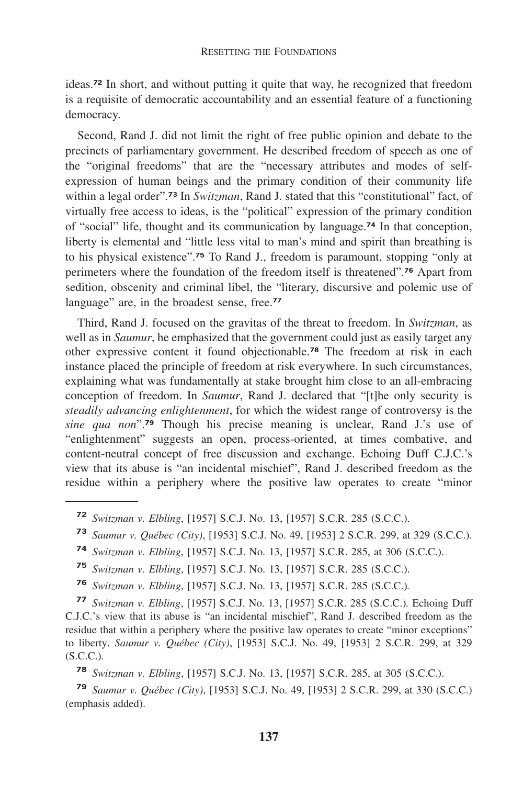[ideas.](https://ideas.72)**<sup>72</sup>** In short, and without putting it quite that way, he recognized that freedom is a requisite of democratic accountability and an essential feature of a functioning democracy.

Second, Rand J. did not limit the right of free public opinion and debate to the precincts of parliamentary government. He described freedom of speech as one of the "original freedoms" that are the "necessary attributes and modes of selfexpression of human beings and the primary condition of their community life within a legal [order".](https://order�.73)**<sup>73</sup>** In *Switzman*, Rand J. stated that this "constitutional" fact, of virtually free access to ideas, is the "political" expression of the primary condition of "social" life, thought and its communication by [language.](https://language.74)**<sup>74</sup>** In that conception, liberty is elemental and "little less vital to man's mind and spirit than breathing is to his physical [existence".](https://existence�.75)**<sup>75</sup>** To Rand J., freedom is paramount, stopping "only at perimeters where the foundation of the freedom itself is [threatened".](https://threatened�.76)**<sup>76</sup>** Apart from sedition, obscenity and criminal libel, the "literary, discursive and polemic use of language" are, in the broadest sense, free.**<sup>77</sup>**

Third, Rand J. focused on the gravitas of the threat to freedom. In *Switzman*, as well as in *Saumur*, he emphasized that the government could just as easily target any other expressive content it found [objectionable.](https://objectionable.78)**<sup>78</sup>** The freedom at risk in each instance placed the principle of freedom at risk everywhere. In such circumstances, explaining what was fundamentally at stake brought him close to an all-embracing conception of freedom. In *Saumur*, Rand J. declared that "[t]he only security is *steadily advancing enlightenment*, for which the widest range of controversy is the *sine qua non*".**<sup>79</sup>** Though his precise meaning is unclear, Rand J.'s use of "enlightenment" suggests an open, process-oriented, at times combative, and content-neutral concept of free discussion and exchange. Echoing Duff C.J.C.'s view that its abuse is "an incidental mischief", Rand J. described freedom as the residue within a periphery where the positive law operates to create "minor

- **<sup>73</sup>** *Saumur v. Québec (City)*, [1953] S.C.J. No. 49, [1953] 2 S.C.R. 299, at 329 (S.C.C.).
- **<sup>74</sup>** *Switzman v. Elbling*, [1957] S.C.J. No. 13, [1957] S.C.R. 285, at 306 (S.C.C.).
- **<sup>75</sup>** *Switzman v. Elbling*, [1957] S.C.J. No. 13, [1957] S.C.R. 285 (S.C.C.).
- **<sup>76</sup>** *Switzman v. Elbling*, [1957] S.C.J. No. 13, [1957] S.C.R. 285 (S.C.C.)*.*

**<sup>77</sup>** *Switzman v. Elbling*, [1957] S.C.J. No. 13, [1957] S.C.R. 285 (S.C.C.)*.* Echoing Duff C.J.C.'s view that its abuse is "an incidental mischief", Rand J. described freedom as the residue that within a periphery where the positive law operates to create "minor exceptions" to liberty. *Saumur v. Québec (City)*, [1953] S.C.J. No. 49, [1953] 2 S.C.R. 299, at 329 (S.C.C.)*.* 

**<sup>78</sup>** *Switzman v. Elbling*, [1957] S.C.J. No. 13, [1957] S.C.R. 285, at 305 (S.C.C.).

**<sup>79</sup>** *Saumur v. Québec (City)*, [1953] S.C.J. No. 49, [1953] 2 S.C.R. 299, at 330 (S.C.C.) (emphasis added).

**<sup>72</sup>** *Switzman v. Elbling*, [1957] S.C.J. No. 13, [1957] S.C.R. 285 (S.C.C.).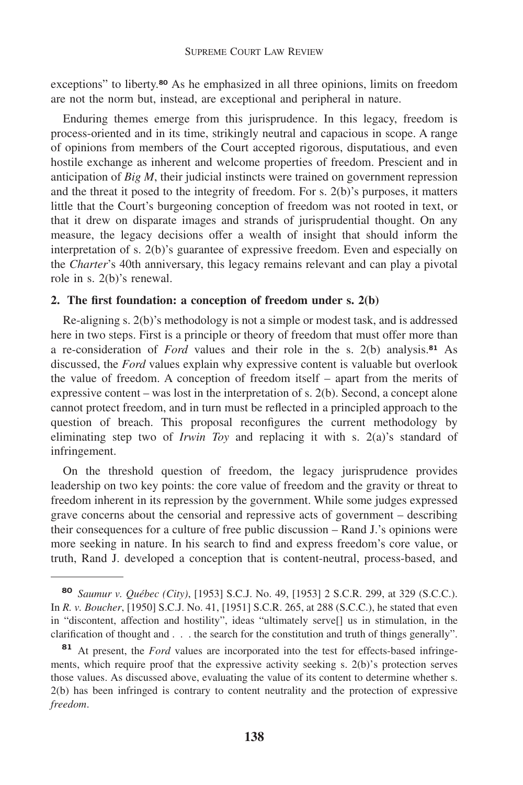exceptions" to [liberty.](https://liberty.80)**<sup>80</sup>** As he emphasized in all three opinions, limits on freedom are not the norm but, instead, are exceptional and peripheral in nature.

Enduring themes emerge from this jurisprudence. In this legacy, freedom is process-oriented and in its time, strikingly neutral and capacious in scope. A range of opinions from members of the Court accepted rigorous, disputatious, and even hostile exchange as inherent and welcome properties of freedom. Prescient and in anticipation of *Big M*, their judicial instincts were trained on government repression and the threat it posed to the integrity of freedom. For s. 2(b)'s purposes, it matters little that the Court's burgeoning conception of freedom was not rooted in text, or that it drew on disparate images and strands of jurisprudential thought. On any measure, the legacy decisions offer a wealth of insight that should inform the interpretation of s. 2(b)'s guarantee of expressive freedom. Even and especially on the *Charter*'s 40th anniversary, this legacy remains relevant and can play a pivotal role in s. 2(b)'s renewal.

## **2. The first foundation: a conception of freedom under s. 2(b)**

Re-aligning s. 2(b)'s methodology is not a simple or modest task, and is addressed here in two steps. First is a principle or theory of freedom that must offer more than a re-consideration of *Ford* values and their role in the s. 2(b) [analysis.](https://analysis.81)**<sup>81</sup>** As discussed, the *Ford* values explain why expressive content is valuable but overlook the value of freedom. A conception of freedom itself – apart from the merits of expressive content – was lost in the interpretation of s. 2(b). Second, a concept alone cannot protect freedom, and in turn must be reflected in a principled approach to the question of breach. This proposal reconfigures the current methodology by eliminating step two of *Irwin Toy* and replacing it with s. 2(a)'s standard of infringement.

On the threshold question of freedom, the legacy jurisprudence provides leadership on two key points: the core value of freedom and the gravity or threat to freedom inherent in its repression by the government. While some judges expressed grave concerns about the censorial and repressive acts of government – describing their consequences for a culture of free public discussion – Rand J.'s opinions were more seeking in nature. In his search to find and express freedom's core value, or truth, Rand J. developed a conception that is content-neutral, process-based, and

**<sup>80</sup>** *Saumur v. Québec (City)*, [1953] S.C.J. No. 49, [1953] 2 S.C.R. 299, at 329 (S.C.C.). In *R. v. Boucher*, [1950] S.C.J. No. 41, [1951] S.C.R. 265, at 288 (S.C.C.), he stated that even in "discontent, affection and hostility", ideas "ultimately serve[] us in stimulation, in the clarification of thought and . . . the search for the constitution and truth of things generally".

**<sup>81</sup>** At present, the *Ford* values are incorporated into the test for effects-based infringements, which require proof that the expressive activity seeking s. 2(b)'s protection serves those values. As discussed above, evaluating the value of its content to determine whether s. 2(b) has been infringed is contrary to content neutrality and the protection of expressive *freedom*.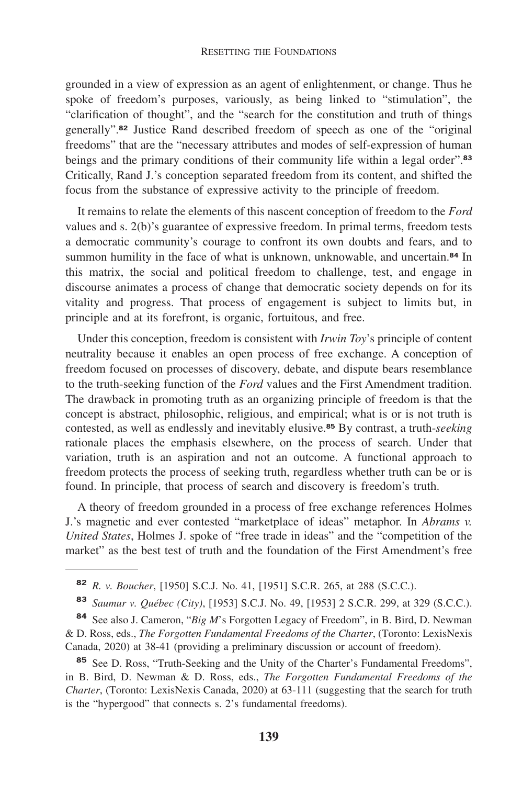grounded in a view of expression as an agent of enlightenment, or change. Thus he spoke of freedom's purposes, variously, as being linked to "stimulation", the "clarification of thought", and the "search for the constitution and truth of things [generally".](https://generally�.82)**<sup>82</sup>** Justice Rand described freedom of speech as one of the "original freedoms" that are the "necessary attributes and modes of self-expression of human beings and the primary conditions of their community life within a legal [order".](https://order�.83)**<sup>83</sup>** Critically, Rand J.'s conception separated freedom from its content, and shifted the focus from the substance of expressive activity to the principle of freedom.

It remains to relate the elements of this nascent conception of freedom to the *Ford*  values and s. 2(b)'s guarantee of expressive freedom. In primal terms, freedom tests a democratic community's courage to confront its own doubts and fears, and to summon humility in the face of what is unknown, unknowable, and [uncertain.](https://uncertain.84)**<sup>84</sup>** In this matrix, the social and political freedom to challenge, test, and engage in discourse animates a process of change that democratic society depends on for its vitality and progress. That process of engagement is subject to limits but, in principle and at its forefront, is organic, fortuitous, and free.

Under this conception, freedom is consistent with *Irwin Toy*'s principle of content neutrality because it enables an open process of free exchange. A conception of freedom focused on processes of discovery, debate, and dispute bears resemblance to the truth-seeking function of the *Ford* values and the First Amendment tradition. The drawback in promoting truth as an organizing principle of freedom is that the concept is abstract, philosophic, religious, and empirical; what is or is not truth is contested, as well as endlessly and inevitably [elusive.](https://elusive.85)**<sup>85</sup>** By contrast, a truth-*seeking*  rationale places the emphasis elsewhere, on the process of search. Under that variation, truth is an aspiration and not an outcome. A functional approach to freedom protects the process of seeking truth, regardless whether truth can be or is found. In principle, that process of search and discovery is freedom's truth.

A theory of freedom grounded in a process of free exchange references Holmes J.'s magnetic and ever contested "marketplace of ideas" metaphor. In *Abrams v. United States*, Holmes J. spoke of "free trade in ideas" and the "competition of the market" as the best test of truth and the foundation of the First Amendment's free

**<sup>84</sup>** See also J. Cameron, "*Big M*'s Forgotten Legacy of Freedom", in B. Bird, D. Newman & D. Ross, eds., *The Forgotten Fundamental Freedoms of the Charter*, (Toronto: LexisNexis Canada, 2020) at 38-41 (providing a preliminary discussion or account of freedom).

**<sup>85</sup>** See D. Ross, "Truth-Seeking and the Unity of the Charter's Fundamental Freedoms", in B. Bird, D. Newman & D. Ross, eds., *The Forgotten Fundamental Freedoms of the Charter*, (Toronto: LexisNexis Canada, 2020) at 63-111 (suggesting that the search for truth is the "hypergood" that connects s. 2's fundamental freedoms).

**<sup>82</sup>** *R. v. Boucher*, [1950] S.C.J. No. 41, [1951] S.C.R. 265, at 288 (S.C.C.).

**<sup>83</sup>** *Saumur v. Québec (City)*, [1953] S.C.J. No. 49, [1953] 2 S.C.R. 299, at 329 (S.C.C.).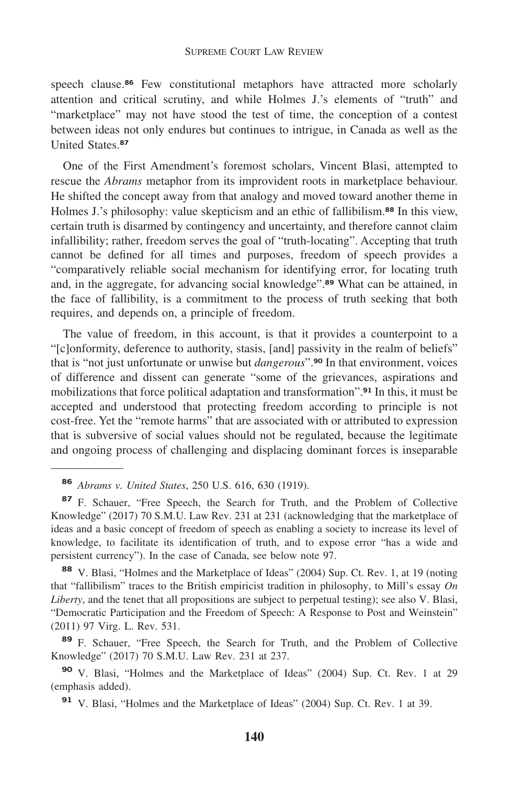speech [clause.](https://clause.86)**<sup>86</sup>** Few constitutional metaphors have attracted more scholarly attention and critical scrutiny, and while Holmes J.'s elements of "truth" and "marketplace" may not have stood the test of time, the conception of a contest between ideas not only endures but continues to intrigue, in Canada as well as the United [States.](https://States.87)**<sup>87</sup>**

One of the First Amendment's foremost scholars, Vincent Blasi, attempted to rescue the *Abrams* metaphor from its improvident roots in marketplace behaviour. He shifted the concept away from that analogy and moved toward another theme in Holmes J.'s philosophy: value skepticism and an ethic of [fallibilism.](https://fallibilism.88)**<sup>88</sup>** In this view, certain truth is disarmed by contingency and uncertainty, and therefore cannot claim infallibility; rather, freedom serves the goal of "truth-locating". Accepting that truth cannot be defined for all times and purposes, freedom of speech provides a "comparatively reliable social mechanism for identifying error, for locating truth and, in the aggregate, for advancing social [knowledge".](https://knowledge�.89)**<sup>89</sup>** What can be attained, in the face of fallibility, is a commitment to the process of truth seeking that both requires, and depends on, a principle of freedom.

The value of freedom, in this account, is that it provides a counterpoint to a "[c]onformity, deference to authority, stasis, [and] passivity in the realm of beliefs" that is "not just unfortunate or unwise but *[dangerous](https://dangerous�.90)*".**<sup>90</sup>** In that environment, voices of difference and dissent can generate "some of the grievances, aspirations and mobilizations that force political adaptation and [transformation".](https://transformation�.91)**<sup>91</sup>** In this, it must be accepted and understood that protecting freedom according to principle is not cost-free. Yet the "remote harms" that are associated with or attributed to expression that is subversive of social values should not be regulated, because the legitimate and ongoing process of challenging and displacing dominant forces is inseparable

**<sup>86</sup>** *Abrams v. United States*, 250 U.S. 616, 630 (1919).

**<sup>87</sup>** F. Schauer, "Free Speech, the Search for Truth, and the Problem of Collective Knowledge" (2017) 70 S.M.U. Law Rev. 231 at 231 (acknowledging that the marketplace of ideas and a basic concept of freedom of speech as enabling a society to increase its level of knowledge, to facilitate its identification of truth, and to expose error "has a wide and persistent currency"). In the case of Canada, see below note 97.

**<sup>88</sup>** V. Blasi, "Holmes and the Marketplace of Ideas" (2004) Sup. Ct. Rev. 1, at 19 (noting that "fallibilism" traces to the British empiricist tradition in philosophy, to Mill's essay *On Liberty*, and the tenet that all propositions are subject to perpetual testing); see also V. Blasi, "Democratic Participation and the Freedom of Speech: A Response to Post and Weinstein" (2011) 97 Virg. L. Rev. 531.

**<sup>89</sup>** F. Schauer, "Free Speech, the Search for Truth, and the Problem of Collective Knowledge" (2017) 70 S.M.U. Law Rev. 231 at 237.

**<sup>90</sup>** V. Blasi, "Holmes and the Marketplace of Ideas" (2004) Sup. Ct. Rev. 1 at 29 (emphasis added).

**<sup>91</sup>** V. Blasi, "Holmes and the Marketplace of Ideas" (2004) Sup. Ct. Rev. 1 at 39.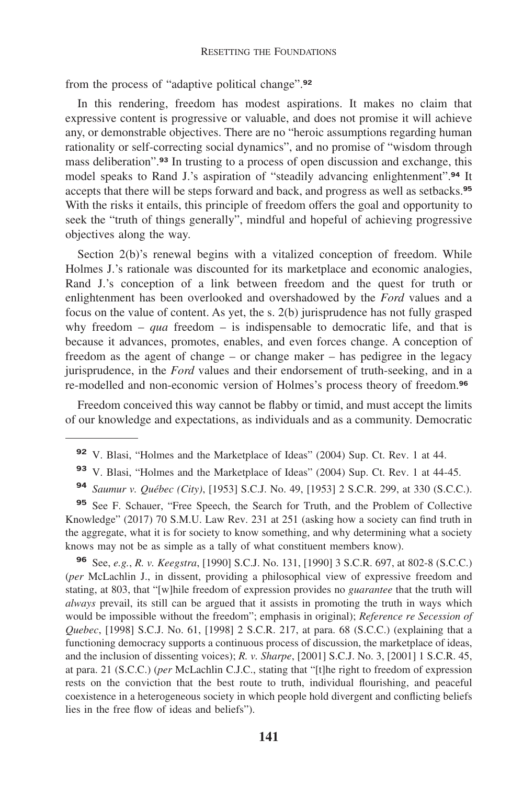from the process of "adaptive political [change".](https://change�.92)**<sup>92</sup>**

In this rendering, freedom has modest aspirations. It makes no claim that expressive content is progressive or valuable, and does not promise it will achieve any, or demonstrable objectives. There are no "heroic assumptions regarding human rationality or self-correcting social dynamics", and no promise of "wisdom through mass [deliberation".](https://deliberation�.93)**<sup>93</sup>** In trusting to a process of open discussion and exchange, this model speaks to Rand J.'s aspiration of "steadily advancing [enlightenment".](https://enlightenment�.94)**<sup>94</sup>** It accepts that there will be steps forward and back, and progress as well as [setbacks.](https://setbacks.95)**<sup>95</sup>** With the risks it entails, this principle of freedom offers the goal and opportunity to seek the "truth of things generally", mindful and hopeful of achieving progressive objectives along the way.

Section 2(b)'s renewal begins with a vitalized conception of freedom. While Holmes J.'s rationale was discounted for its marketplace and economic analogies, Rand J.'s conception of a link between freedom and the quest for truth or enlightenment has been overlooked and overshadowed by the *Ford* values and a focus on the value of content. As yet, the s. 2(b) jurisprudence has not fully grasped why freedom – *qua* freedom – is indispensable to democratic life, and that is because it advances, promotes, enables, and even forces change. A conception of freedom as the agent of change – or change maker – has pedigree in the legacy jurisprudence, in the *Ford* values and their endorsement of truth-seeking, and in a re-modelled and non-economic version of Holmes's process theory of [freedom.](https://freedom.96)**<sup>96</sup>**

Freedom conceived this way cannot be flabby or timid, and must accept the limits of our knowledge and expectations, as individuals and as a community. Democratic

**<sup>95</sup>** See F. Schauer, "Free Speech, the Search for Truth, and the Problem of Collective Knowledge" (2017) 70 S.M.U. Law Rev. 231 at 251 (asking how a society can find truth in the aggregate, what it is for society to know something, and why determining what a society knows may not be as simple as a tally of what constituent members know).

**<sup>96</sup>** See, *e.g.*, *R. v. Keegstra*, [1990] S.C.J. No. 131, [1990] 3 S.C.R. 697, at 802-8 (S.C.C.) (*per* McLachlin J., in dissent, providing a philosophical view of expressive freedom and stating, at 803, that "[w]hile freedom of expression provides no *guarantee* that the truth will *always* prevail, its still can be argued that it assists in promoting the truth in ways which would be impossible without the freedom"; emphasis in original); *Reference re Secession of Quebec*, [1998] S.C.J. No. 61, [1998] 2 S.C.R. 217, at para. 68 (S.C.C.) (explaining that a functioning democracy supports a continuous process of discussion, the marketplace of ideas, and the inclusion of dissenting voices); *R. v. Sharpe*, [2001] S.C.J. No. 3, [2001] 1 S.C.R. 45, at para. 21 (S.C.C.) (*per* McLachlin C.J.C., stating that "[t]he right to freedom of expression rests on the conviction that the best route to truth, individual flourishing, and peaceful coexistence in a heterogeneous society in which people hold divergent and conflicting beliefs lies in the free flow of ideas and beliefs").

**<sup>92</sup>** V. Blasi, "Holmes and the Marketplace of Ideas" (2004) Sup. Ct. Rev. 1 at 44.

**<sup>93</sup>** V. Blasi, "Holmes and the Marketplace of Ideas" (2004) Sup. Ct. Rev. 1 at 44-45.

**<sup>94</sup>** *Saumur v. Québec (City)*, [1953] S.C.J. No. 49, [1953] 2 S.C.R. 299, at 330 (S.C.C.).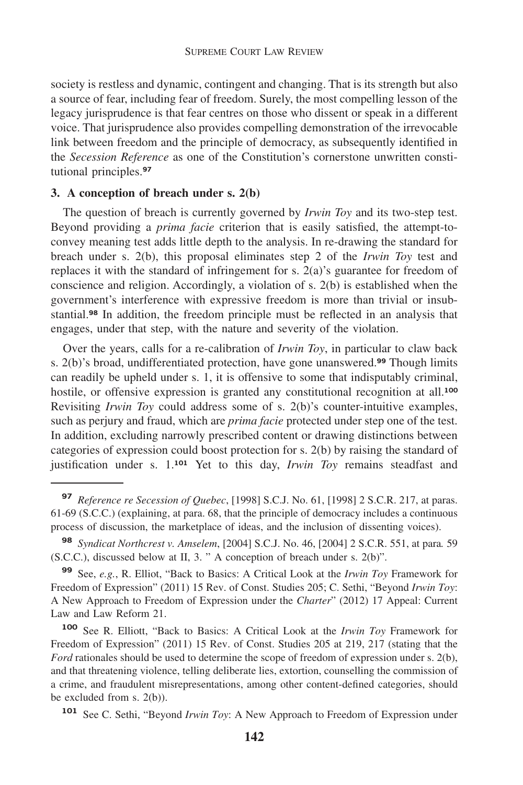society is restless and dynamic, contingent and changing. That is its strength but also a source of fear, including fear of freedom. Surely, the most compelling lesson of the legacy jurisprudence is that fear centres on those who dissent or speak in a different voice. That jurisprudence also provides compelling demonstration of the irrevocable link between freedom and the principle of democracy, as subsequently identified in the *Secession Reference* as one of the Constitution's cornerstone unwritten constitutional [principles.](https://principles.97)**<sup>97</sup>**

# **3. A conception of breach under s. 2(b)**

The question of breach is currently governed by *Irwin Toy* and its two-step test. Beyond providing a *prima facie* criterion that is easily satisfied, the attempt-toconvey meaning test adds little depth to the analysis. In re-drawing the standard for breach under s. 2(b), this proposal eliminates step 2 of the *Irwin Toy* test and replaces it with the standard of infringement for s. 2(a)'s guarantee for freedom of conscience and religion. Accordingly, a violation of s. 2(b) is established when the government's interference with expressive freedom is more than trivial or insub[stantial.](https://stantial.98)**<sup>98</sup>** In addition, the freedom principle must be reflected in an analysis that engages, under that step, with the nature and severity of the violation.

Over the years, calls for a re-calibration of *Irwin Toy*, in particular to claw back s. 2(b)'s broad, undifferentiated protection, have gone [unanswered.](https://unanswered.99)**<sup>99</sup>** Though limits can readily be upheld under s. 1, it is offensive to some that indisputably criminal, hostile, or offensive expression is granted any constitutional recognition at all.**<sup>100</sup>** Revisiting *Irwin Toy* could address some of s. 2(b)'s counter-intuitive examples, such as perjury and fraud, which are *prima facie* protected under step one of the test. In addition, excluding narrowly prescribed content or drawing distinctions between categories of expression could boost protection for s. 2(b) by raising the standard of justification under s. 1.<sup>101</sup> Yet to this day, *Irwin Toy* remains steadfast and

**<sup>97</sup>** *Reference re Secession of Quebec*, [1998] S.C.J. No. 61, [1998] 2 S.C.R. 217, at paras. 61-69 (S.C.C.) (explaining, at para. 68, that the principle of democracy includes a continuous process of discussion, the marketplace of ideas, and the inclusion of dissenting voices).

**<sup>98</sup>** *Syndicat Northcrest v. Amselem*, [2004] S.C.J. No. 46, [2004] 2 S.C.R. 551, at para*.* 59 (S.C.C.), discussed below at II, 3. " A conception of breach under s. 2(b)".

**<sup>99</sup>** See, *e.g.*, R. Elliot, "Back to Basics: A Critical Look at the *Irwin Toy* Framework for Freedom of Expression" (2011) 15 Rev. of Const. Studies 205; C. Sethi, "Beyond *Irwin Toy*: A New Approach to Freedom of Expression under the *Charter*" (2012) 17 Appeal: Current Law and Law Reform 21.

**<sup>100</sup>** See R. Elliott, "Back to Basics: A Critical Look at the *Irwin Toy* Framework for Freedom of Expression" (2011) 15 Rev. of Const. Studies 205 at 219, 217 (stating that the *Ford* rationales should be used to determine the scope of freedom of expression under s. 2(b), and that threatening violence, telling deliberate lies, extortion, counselling the commission of a crime, and fraudulent misrepresentations, among other content-defined categories, should be excluded from s. 2(b)).

**<sup>101</sup>** See C. Sethi, "Beyond *Irwin Toy*: A New Approach to Freedom of Expression under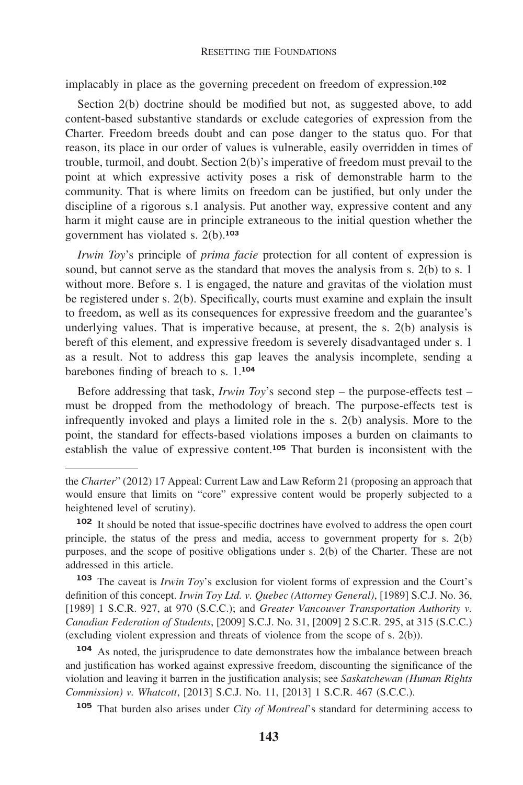implacably in place as the governing precedent on freedom of expression.**<sup>102</sup>**

Section 2(b) doctrine should be modified but not, as suggested above, to add content-based substantive standards or exclude categories of expression from the Charter. Freedom breeds doubt and can pose danger to the status quo. For that reason, its place in our order of values is vulnerable, easily overridden in times of trouble, turmoil, and doubt. Section 2(b)'s imperative of freedom must prevail to the point at which expressive activity poses a risk of demonstrable harm to the community. That is where limits on freedom can be justified, but only under the discipline of a rigorous s.1 analysis. Put another way, expressive content and any harm it might cause are in principle extraneous to the initial question whether the government has violated s. 2(b).**<sup>103</sup>**

*Irwin Toy*'s principle of *prima facie* protection for all content of expression is sound, but cannot serve as the standard that moves the analysis from s. 2(b) to s. 1 without more. Before s. 1 is engaged, the nature and gravitas of the violation must be registered under s. 2(b). Specifically, courts must examine and explain the insult to freedom, as well as its consequences for expressive freedom and the guarantee's underlying values. That is imperative because, at present, the s. 2(b) analysis is bereft of this element, and expressive freedom is severely disadvantaged under s. 1 as a result. Not to address this gap leaves the analysis incomplete, sending a barebones finding of breach to s. 1.**<sup>104</sup>**

Before addressing that task, *Irwin Toy*'s second step – the purpose-effects test – must be dropped from the methodology of breach. The purpose-effects test is infrequently invoked and plays a limited role in the s. 2(b) analysis. More to the point, the standard for effects-based violations imposes a burden on claimants to establish the value of expressive content.**<sup>105</sup>** That burden is inconsistent with the

**<sup>103</sup>** The caveat is *Irwin Toy*'s exclusion for violent forms of expression and the Court's definition of this concept. *Irwin Toy Ltd. v. Quebec (Attorney General)*, [1989] S.C.J. No. 36, [1989] 1 S.C.R. 927, at 970 (S.C.C.); and *Greater Vancouver Transportation Authority v. Canadian Federation of Students*, [2009] S.C.J. No. 31, [2009] 2 S.C.R. 295, at 315 (S.C.C.) (excluding violent expression and threats of violence from the scope of s. 2(b)).

**<sup>104</sup>** As noted, the jurisprudence to date demonstrates how the imbalance between breach and justification has worked against expressive freedom, discounting the significance of the violation and leaving it barren in the justification analysis; see *Saskatchewan (Human Rights Commission) v. Whatcott*, [2013] S.C.J. No. 11, [2013] 1 S.C.R. 467 (S.C.C.).

**<sup>105</sup>** That burden also arises under *City of Montreal*'s standard for determining access to

the *Charter*" (2012) 17 Appeal: Current Law and Law Reform 21 (proposing an approach that would ensure that limits on "core" expressive content would be properly subjected to a heightened level of scrutiny).

**<sup>102</sup>** It should be noted that issue-specific doctrines have evolved to address the open court principle, the status of the press and media, access to government property for s. 2(b) purposes, and the scope of positive obligations under s. 2(b) of the Charter. These are not addressed in this article.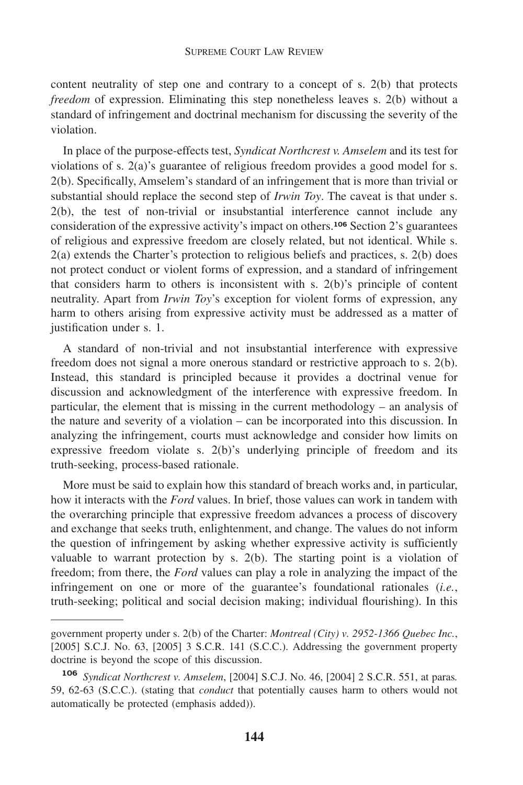content neutrality of step one and contrary to a concept of s. 2(b) that protects *freedom* of expression. Eliminating this step nonetheless leaves s. 2(b) without a standard of infringement and doctrinal mechanism for discussing the severity of the violation.

In place of the purpose-effects test, *Syndicat Northcrest v. Amselem* and its test for violations of s. 2(a)'s guarantee of religious freedom provides a good model for s. 2(b). Specifically, Amselem's standard of an infringement that is more than trivial or substantial should replace the second step of *Irwin Toy*. The caveat is that under s. 2(b), the test of non-trivial or insubstantial interference cannot include any consideration of the expressive activity's impact on others.**<sup>106</sup>** Section 2's guarantees of religious and expressive freedom are closely related, but not identical. While s. 2(a) extends the Charter's protection to religious beliefs and practices, s. 2(b) does not protect conduct or violent forms of expression, and a standard of infringement that considers harm to others is inconsistent with s.  $2(b)$ 's principle of content neutrality. Apart from *Irwin Toy*'s exception for violent forms of expression, any harm to others arising from expressive activity must be addressed as a matter of justification under s. 1.

A standard of non-trivial and not insubstantial interference with expressive freedom does not signal a more onerous standard or restrictive approach to s. 2(b). Instead, this standard is principled because it provides a doctrinal venue for discussion and acknowledgment of the interference with expressive freedom. In particular, the element that is missing in the current methodology – an analysis of the nature and severity of a violation – can be incorporated into this discussion. In analyzing the infringement, courts must acknowledge and consider how limits on expressive freedom violate s. 2(b)'s underlying principle of freedom and its truth-seeking, process-based rationale.

More must be said to explain how this standard of breach works and, in particular, how it interacts with the *Ford* values. In brief, those values can work in tandem with the overarching principle that expressive freedom advances a process of discovery and exchange that seeks truth, enlightenment, and change. The values do not inform the question of infringement by asking whether expressive activity is sufficiently valuable to warrant protection by s. 2(b). The starting point is a violation of freedom; from there, the *Ford* values can play a role in analyzing the impact of the infringement on one or more of the guarantee's foundational rationales (*i.e.*, truth-seeking; political and social decision making; individual flourishing). In this

government property under s. 2(b) of the Charter: *Montreal (City) v. 2952-1366 Quebec Inc.*, [2005] S.C.J. No. 63, [2005] 3 S.C.R. 141 (S.C.C.). Addressing the government property doctrine is beyond the scope of this discussion.

**<sup>106</sup>** *Syndicat Northcrest v. Amselem*, [2004] S.C.J. No. 46, [2004] 2 S.C.R. 551, at paras*.*  59, 62-63 (S.C.C.). (stating that *conduct* that potentially causes harm to others would not automatically be protected (emphasis added)).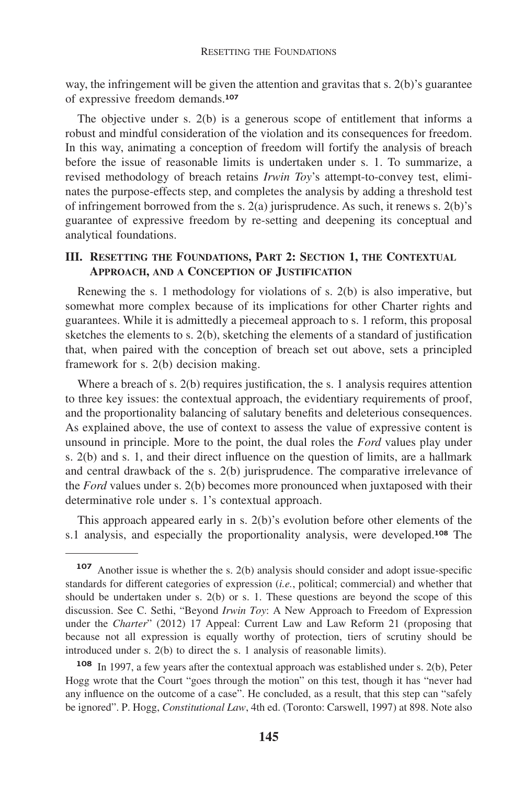way, the infringement will be given the attention and gravitas that s. 2(b)'s guarantee of expressive freedom demands.**<sup>107</sup>**

The objective under s. 2(b) is a generous scope of entitlement that informs a robust and mindful consideration of the violation and its consequences for freedom. In this way, animating a conception of freedom will fortify the analysis of breach before the issue of reasonable limits is undertaken under s. 1. To summarize, a revised methodology of breach retains *Irwin Toy*'s attempt-to-convey test, eliminates the purpose-effects step, and completes the analysis by adding a threshold test of infringement borrowed from the s. 2(a) jurisprudence. As such, it renews s. 2(b)'s guarantee of expressive freedom by re-setting and deepening its conceptual and analytical foundations.

# **III. RESETTING THE FOUNDATIONS, PART 2: SECTION 1, THE CONTEXTUAL APPROACH, AND A CONCEPTION OF JUSTIFICATION**

Renewing the s. 1 methodology for violations of s. 2(b) is also imperative, but somewhat more complex because of its implications for other Charter rights and guarantees. While it is admittedly a piecemeal approach to s. 1 reform, this proposal sketches the elements to s. 2(b), sketching the elements of a standard of justification that, when paired with the conception of breach set out above, sets a principled framework for s. 2(b) decision making.

Where a breach of s. 2(b) requires justification, the s. 1 analysis requires attention to three key issues: the contextual approach, the evidentiary requirements of proof, and the proportionality balancing of salutary benefits and deleterious consequences. As explained above, the use of context to assess the value of expressive content is unsound in principle. More to the point, the dual roles the *Ford* values play under s. 2(b) and s. 1, and their direct influence on the question of limits, are a hallmark and central drawback of the s. 2(b) jurisprudence. The comparative irrelevance of the *Ford* values under s. 2(b) becomes more pronounced when juxtaposed with their determinative role under s. 1's contextual approach.

This approach appeared early in s. 2(b)'s evolution before other elements of the s.1 analysis, and especially the proportionality analysis, were developed.**<sup>108</sup>** The

**<sup>107</sup>** Another issue is whether the s. 2(b) analysis should consider and adopt issue-specific standards for different categories of expression (*i.e.*, political; commercial) and whether that should be undertaken under s. 2(b) or s. 1. These questions are beyond the scope of this discussion. See C. Sethi, "Beyond *Irwin Toy*: A New Approach to Freedom of Expression under the *Charter*" (2012) 17 Appeal: Current Law and Law Reform 21 (proposing that because not all expression is equally worthy of protection, tiers of scrutiny should be introduced under s. 2(b) to direct the s. 1 analysis of reasonable limits).

**<sup>108</sup>** In 1997, a few years after the contextual approach was established under s. 2(b), Peter Hogg wrote that the Court "goes through the motion" on this test, though it has "never had any influence on the outcome of a case". He concluded, as a result, that this step can "safely be ignored". P. Hogg, *Constitutional Law*, 4th ed. (Toronto: Carswell, 1997) at 898. Note also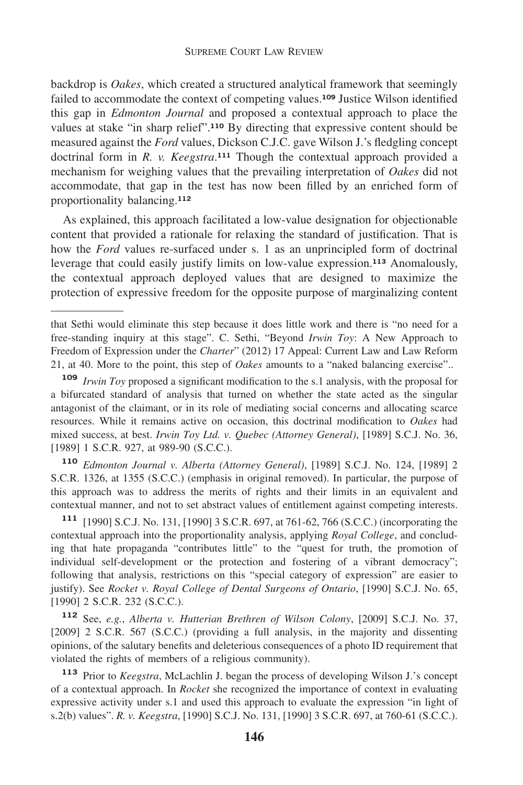backdrop is *Oakes*, which created a structured analytical framework that seemingly failed to accommodate the context of competing values.**<sup>109</sup>** Justice Wilson identified this gap in *Edmonton Journal* and proposed a contextual approach to place the values at stake "in sharp relief".**<sup>110</sup>** By directing that expressive content should be measured against the *Ford* values, Dickson C.J.C. gave Wilson J.'s fledgling concept doctrinal form in *R. v. Keegstra*.<sup>111</sup> Though the contextual approach provided a mechanism for weighing values that the prevailing interpretation of *Oakes* did not accommodate, that gap in the test has now been filled by an enriched form of proportionality balancing.**<sup>112</sup>**

As explained, this approach facilitated a low-value designation for objectionable content that provided a rationale for relaxing the standard of justification. That is how the *Ford* values re-surfaced under s. 1 as an unprincipled form of doctrinal leverage that could easily justify limits on low-value expression.**<sup>113</sup>** Anomalously, the contextual approach deployed values that are designed to maximize the protection of expressive freedom for the opposite purpose of marginalizing content

**<sup>110</sup>** *Edmonton Journal v. Alberta (Attorney General)*, [1989] S.C.J. No. 124, [1989] 2 S.C.R. 1326, at 1355 (S.C.C.) (emphasis in original removed). In particular, the purpose of this approach was to address the merits of rights and their limits in an equivalent and contextual manner, and not to set abstract values of entitlement against competing interests.

**<sup>111</sup>** [1990] S.C.J. No. 131, [1990] 3 S.C.R. 697, at 761-62, 766 (S.C.C.) (incorporating the contextual approach into the proportionality analysis, applying *Royal College*, and concluding that hate propaganda "contributes little" to the "quest for truth, the promotion of individual self-development or the protection and fostering of a vibrant democracy"; following that analysis, restrictions on this "special category of expression" are easier to justify). See *Rocket v. Royal College of Dental Surgeons of Ontario*, [1990] S.C.J. No. 65, [1990] 2 S.C.R. 232 (S.C.C.).

**<sup>112</sup>** See, *e.g.*, *Alberta v. Hutterian Brethren of Wilson Colony*, [2009] S.C.J. No. 37, [2009] 2 S.C.R. 567 (S.C.C.) (providing a full analysis, in the majority and dissenting opinions, of the salutary benefits and deleterious consequences of a photo ID requirement that violated the rights of members of a religious community).

**<sup>113</sup>** Prior to *Keegstra*, McLachlin J. began the process of developing Wilson J.'s concept of a contextual approach. In *Rocket* she recognized the importance of context in evaluating expressive activity under s.1 and used this approach to evaluate the expression "in light of s.2(b) values". *R. v. Keegstra*, [1990] S.C.J. No. 131, [1990] 3 S.C.R. 697, at 760-61 (S.C.C.).

that Sethi would eliminate this step because it does little work and there is "no need for a free-standing inquiry at this stage". C. Sethi, "Beyond *Irwin Toy*: A New Approach to Freedom of Expression under the *Charter*" (2012) 17 Appeal: Current Law and Law Reform 21, at 40. More to the point, this step of *Oakes* amounts to a "naked balancing exercise"..

**<sup>109</sup>** *Irwin Toy* proposed a significant modification to the s.1 analysis, with the proposal for a bifurcated standard of analysis that turned on whether the state acted as the singular antagonist of the claimant, or in its role of mediating social concerns and allocating scarce resources. While it remains active on occasion, this doctrinal modification to *Oakes* had mixed success, at best. *Irwin Toy Ltd. v. Quebec (Attorney General)*, [1989] S.C.J. No. 36, [1989] 1 S.C.R. 927, at 989-90 (S.C.C.).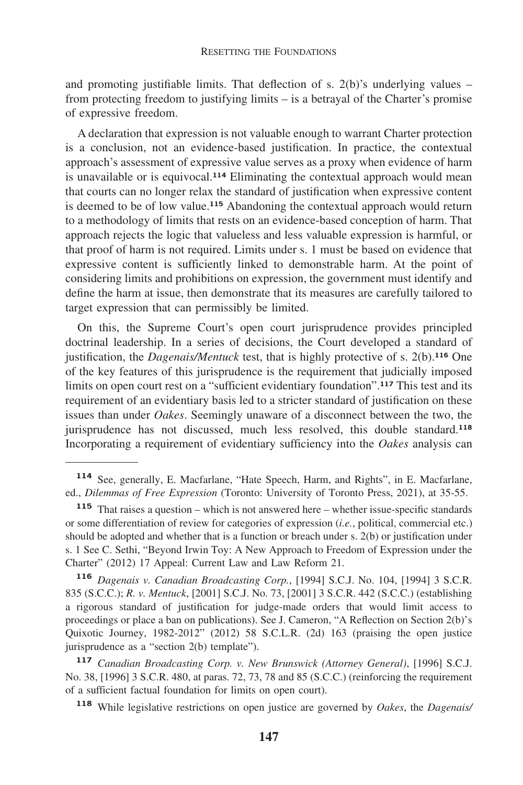and promoting justifiable limits. That deflection of s.  $2(b)$ 's underlying values – from protecting freedom to justifying limits – is a betrayal of the Charter's promise of expressive freedom.

A declaration that expression is not valuable enough to warrant Charter protection is a conclusion, not an evidence-based justification. In practice, the contextual approach's assessment of expressive value serves as a proxy when evidence of harm is unavailable or is equivocal.**<sup>114</sup>** Eliminating the contextual approach would mean that courts can no longer relax the standard of justification when expressive content is deemed to be of low value.**<sup>115</sup>** Abandoning the contextual approach would return to a methodology of limits that rests on an evidence-based conception of harm. That approach rejects the logic that valueless and less valuable expression is harmful, or that proof of harm is not required. Limits under s. 1 must be based on evidence that expressive content is sufficiently linked to demonstrable harm. At the point of considering limits and prohibitions on expression, the government must identify and define the harm at issue, then demonstrate that its measures are carefully tailored to target expression that can permissibly be limited.

On this, the Supreme Court's open court jurisprudence provides principled doctrinal leadership. In a series of decisions, the Court developed a standard of justification, the *Dagenais/Mentuck* test, that is highly protective of s. 2(b).**<sup>116</sup>** One of the key features of this jurisprudence is the requirement that judicially imposed limits on open court rest on a "sufficient evidentiary foundation".**<sup>117</sup>** This test and its requirement of an evidentiary basis led to a stricter standard of justification on these issues than under *Oakes*. Seemingly unaware of a disconnect between the two, the jurisprudence has not discussed, much less resolved, this double standard.**<sup>118</sup>** Incorporating a requirement of evidentiary sufficiency into the *Oakes* analysis can

**<sup>116</sup>** *Dagenais v. Canadian Broadcasting Corp.*, [1994] S.C.J. No. 104, [1994] 3 S.C.R. 835 (S.C.C.); *R. v. Mentuck*, [2001] S.C.J. No. 73, [2001] 3 S.C.R. 442 (S.C.C.) (establishing a rigorous standard of justification for judge-made orders that would limit access to proceedings or place a ban on publications). See J. Cameron, "A Reflection on Section 2(b)'s Quixotic Journey, 1982-2012" (2012) 58 S.C.L.R. (2d) 163 (praising the open justice jurisprudence as a "section 2(b) template").

**<sup>114</sup>** See, generally, E. Macfarlane, "Hate Speech, Harm, and Rights", in E. Macfarlane, ed., *Dilemmas of Free Expression* (Toronto: University of Toronto Press, 2021), at 35-55.

**<sup>115</sup>** That raises a question – which is not answered here – whether issue-specific standards or some differentiation of review for categories of expression (*i.e.*, political, commercial etc.) should be adopted and whether that is a function or breach under s. 2(b) or justification under s. 1 See C. Sethi, "Beyond Irwin Toy: A New Approach to Freedom of Expression under the Charter" (2012) 17 Appeal: Current Law and Law Reform 21.

**<sup>117</sup>** *Canadian Broadcasting Corp. v. New Brunswick (Attorney General)*, [1996] S.C.J. No. 38, [1996] 3 S.C.R. 480, at paras. 72, 73, 78 and 85 (S.C.C.) (reinforcing the requirement of a sufficient factual foundation for limits on open court).

**<sup>118</sup>** While legislative restrictions on open justice are governed by *Oakes*, the *Dagenais/*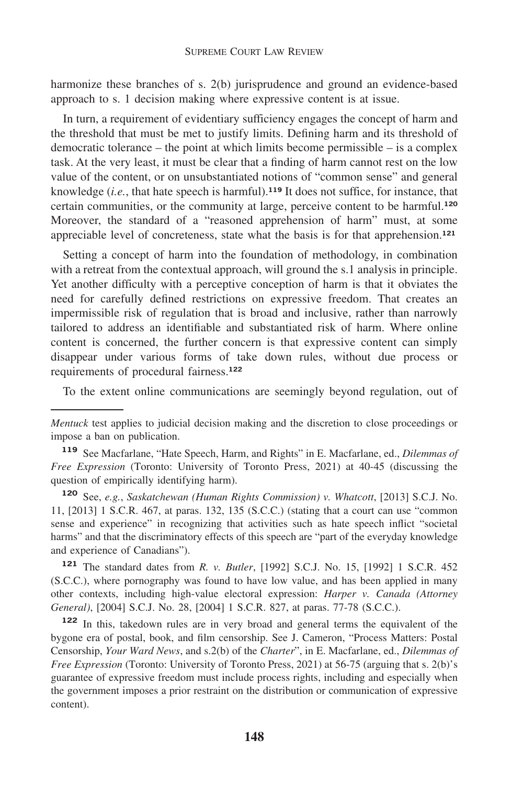harmonize these branches of s. 2(b) jurisprudence and ground an evidence-based approach to s. 1 decision making where expressive content is at issue.

In turn, a requirement of evidentiary sufficiency engages the concept of harm and the threshold that must be met to justify limits. Defining harm and its threshold of democratic tolerance – the point at which limits become permissible – is a complex task. At the very least, it must be clear that a finding of harm cannot rest on the low value of the content, or on unsubstantiated notions of "common sense" and general knowledge (*i.e.*, that hate speech is harmful).**<sup>119</sup>** It does not suffice, for instance, that certain communities, or the community at large, perceive content to be harmful.**<sup>120</sup>** Moreover, the standard of a "reasoned apprehension of harm" must, at some appreciable level of concreteness, state what the basis is for that apprehension.**<sup>121</sup>**

Setting a concept of harm into the foundation of methodology, in combination with a retreat from the contextual approach, will ground the s.1 analysis in principle. Yet another difficulty with a perceptive conception of harm is that it obviates the need for carefully defined restrictions on expressive freedom. That creates an impermissible risk of regulation that is broad and inclusive, rather than narrowly tailored to address an identifiable and substantiated risk of harm. Where online content is concerned, the further concern is that expressive content can simply disappear under various forms of take down rules, without due process or requirements of procedural fairness.**<sup>122</sup>**

To the extent online communications are seemingly beyond regulation, out of

**<sup>120</sup>** See, *e.g.*, *Saskatchewan (Human Rights Commission) v. Whatcott*, [2013] S.C.J. No. 11, [2013] 1 S.C.R. 467, at paras. 132, 135 (S.C.C.) (stating that a court can use "common sense and experience" in recognizing that activities such as hate speech inflict "societal harms" and that the discriminatory effects of this speech are "part of the everyday knowledge and experience of Canadians").

**<sup>121</sup>** The standard dates from *R. v. Butler*, [1992] S.C.J. No. 15, [1992] 1 S.C.R. 452 (S.C.C.), where pornography was found to have low value, and has been applied in many other contexts, including high-value electoral expression: *Harper v. Canada (Attorney General)*, [2004] S.C.J. No. 28, [2004] 1 S.C.R. 827, at paras. 77-78 (S.C.C.).

**<sup>122</sup>** In this, takedown rules are in very broad and general terms the equivalent of the bygone era of postal, book, and film censorship. See J. Cameron, "Process Matters: Postal Censorship, *Your Ward News*, and s.2(b) of the *Charter*", in E. Macfarlane, ed., *Dilemmas of Free Expression* (Toronto: University of Toronto Press, 2021) at 56-75 (arguing that s. 2(b)'s guarantee of expressive freedom must include process rights, including and especially when the government imposes a prior restraint on the distribution or communication of expressive content).

*Mentuck* test applies to judicial decision making and the discretion to close proceedings or impose a ban on publication.

**<sup>119</sup>** See Macfarlane, "Hate Speech, Harm, and Rights" in E. Macfarlane, ed., *Dilemmas of Free Expression* (Toronto: University of Toronto Press, 2021) at 40-45 (discussing the question of empirically identifying harm).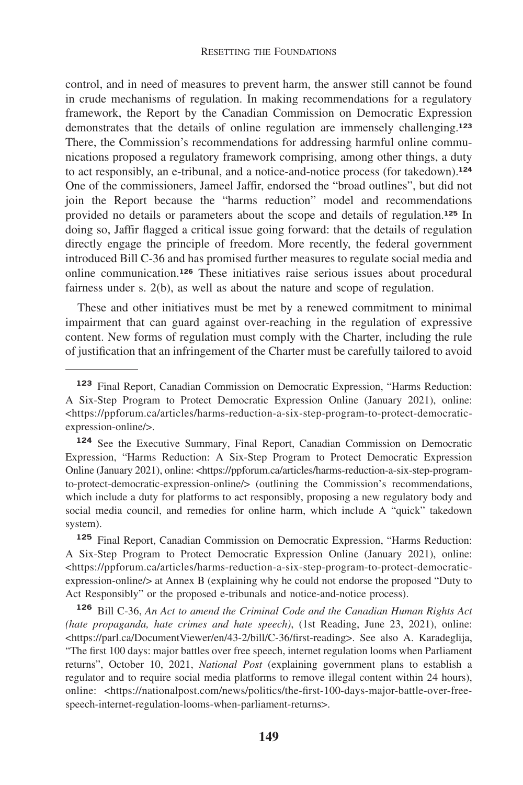control, and in need of measures to prevent harm, the answer still cannot be found in crude mechanisms of regulation. In making recommendations for a regulatory framework, the Report by the Canadian Commission on Democratic Expression demonstrates that the details of online regulation are immensely challenging.**<sup>123</sup>** There, the Commission's recommendations for addressing harmful online communications proposed a regulatory framework comprising, among other things, a duty to act responsibly, an e-tribunal, and a notice-and-notice process (for takedown).**<sup>124</sup>** One of the commissioners, Jameel Jaffir, endorsed the "broad outlines", but did not join the Report because the "harms reduction" model and recommendations provided no details or parameters about the scope and details of regulation.**<sup>125</sup>** In doing so, Jaffir flagged a critical issue going forward: that the details of regulation directly engage the principle of freedom. More recently, the federal government introduced Bill C-36 and has promised further measures to regulate social media and online communication.**<sup>126</sup>** These initiatives raise serious issues about procedural fairness under s. 2(b), as well as about the nature and scope of regulation.

These and other initiatives must be met by a renewed commitment to minimal impairment that can guard against over-reaching in the regulation of expressive content. New forms of regulation must comply with the Charter, including the rule of justification that an infringement of the Charter must be carefully tailored to avoid

**<sup>123</sup>** Final Report, Canadian Commission on Democratic Expression, "Harms Reduction: A Six-Step Program to Protect Democratic Expression Online (January 2021), online: [<https://ppforum.ca/articles/harms-reduction-a-six-step-program-to-protect-democratic](https://ppforum.ca/articles/harms-reduction-a-six-step-program-to-protect-democratic)expression-online/>.

**<sup>124</sup>** See the Executive Summary, Final Report, Canadian Commission on Democratic Expression, "Harms Reduction: A Six-Step Program to Protect Democratic Expression Online (January 2021), online: [<https://ppforum.ca/articles/harms-reduction-a-six-step-program](https://ppforum.ca/articles/harms-reduction-a-six-step-program)to-protect-democratic-expression-online/> (outlining the Commission's recommendations, which include a duty for platforms to act responsibly, proposing a new regulatory body and social media council, and remedies for online harm, which include A "quick" takedown system).

**<sup>125</sup>** Final Report, Canadian Commission on Democratic Expression, "Harms Reduction: A Six-Step Program to Protect Democratic Expression Online (January 2021), online: [<https://ppforum.ca/articles/harms-reduction-a-six-step-program-to-protect-democratic](https://ppforum.ca/articles/harms-reduction-a-six-step-program-to-protect-democratic)expression-online/> at Annex B (explaining why he could not endorse the proposed "Duty to Act Responsibly" or the proposed e-tribunals and notice-and-notice process).

**<sup>126</sup>** Bill C-36, *An Act to amend the Criminal Code and the Canadian Human Rights Act (hate propaganda, hate crimes and hate speech)*, (1st Reading, June 23, 2021), online: [<https://parl.ca/DocumentViewer/en/43-2/bill/C-36/first-reading>](https://parl.ca/DocumentViewer/en/43-2/bill/C-36/first-reading). See also A. Karadeglija, "The first 100 days: major battles over free speech, internet regulation looms when Parliament returns", October 10, 2021, *National Post* (explaining government plans to establish a regulator and to require social media platforms to remove illegal content within 24 hours), online: [<https://nationalpost.com/news/politics/the-first-100-days-major-battle-over-free](https://nationalpost.com/news/politics/the-first-100-days-major-battle-over-free)speech-internet-regulation-looms-when-parliament-returns>.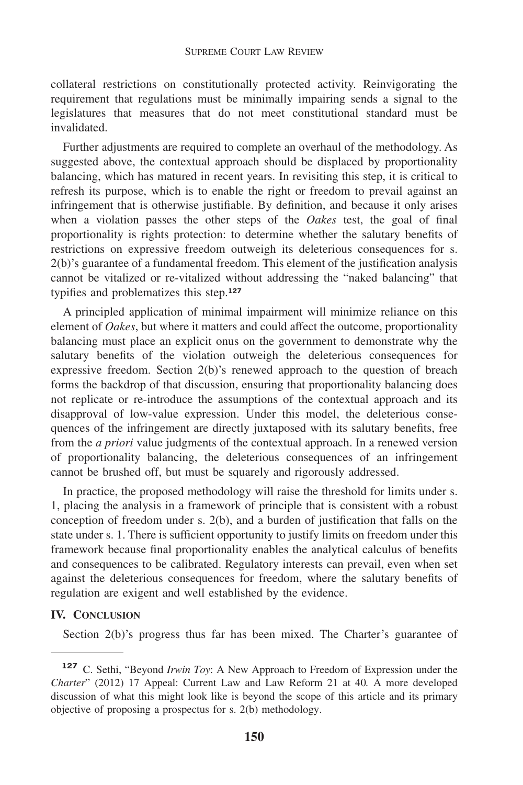collateral restrictions on constitutionally protected activity. Reinvigorating the requirement that regulations must be minimally impairing sends a signal to the legislatures that measures that do not meet constitutional standard must be invalidated.

Further adjustments are required to complete an overhaul of the methodology. As suggested above, the contextual approach should be displaced by proportionality balancing, which has matured in recent years. In revisiting this step, it is critical to refresh its purpose, which is to enable the right or freedom to prevail against an infringement that is otherwise justifiable. By definition, and because it only arises when a violation passes the other steps of the *Oakes* test, the goal of final proportionality is rights protection: to determine whether the salutary benefits of restrictions on expressive freedom outweigh its deleterious consequences for s. 2(b)'s guarantee of a fundamental freedom. This element of the justification analysis cannot be vitalized or re-vitalized without addressing the "naked balancing" that typifies and problematizes this step.**<sup>127</sup>**

A principled application of minimal impairment will minimize reliance on this element of *Oakes*, but where it matters and could affect the outcome, proportionality balancing must place an explicit onus on the government to demonstrate why the salutary benefits of the violation outweigh the deleterious consequences for expressive freedom. Section 2(b)'s renewed approach to the question of breach forms the backdrop of that discussion, ensuring that proportionality balancing does not replicate or re-introduce the assumptions of the contextual approach and its disapproval of low-value expression. Under this model, the deleterious consequences of the infringement are directly juxtaposed with its salutary benefits, free from the *a priori* value judgments of the contextual approach. In a renewed version of proportionality balancing, the deleterious consequences of an infringement cannot be brushed off, but must be squarely and rigorously addressed.

In practice, the proposed methodology will raise the threshold for limits under s. 1, placing the analysis in a framework of principle that is consistent with a robust conception of freedom under s. 2(b), and a burden of justification that falls on the state under s. 1. There is sufficient opportunity to justify limits on freedom under this framework because final proportionality enables the analytical calculus of benefits and consequences to be calibrated. Regulatory interests can prevail, even when set against the deleterious consequences for freedom, where the salutary benefits of regulation are exigent and well established by the evidence.

# **IV. CONCLUSION**

Section 2(b)'s progress thus far has been mixed. The Charter's guarantee of

**<sup>127</sup>** C. Sethi, "Beyond *Irwin Toy*: A New Approach to Freedom of Expression under the *Charter*" (2012) 17 Appeal: Current Law and Law Reform 21 at 40*.* A more developed discussion of what this might look like is beyond the scope of this article and its primary objective of proposing a prospectus for s. 2(b) methodology.